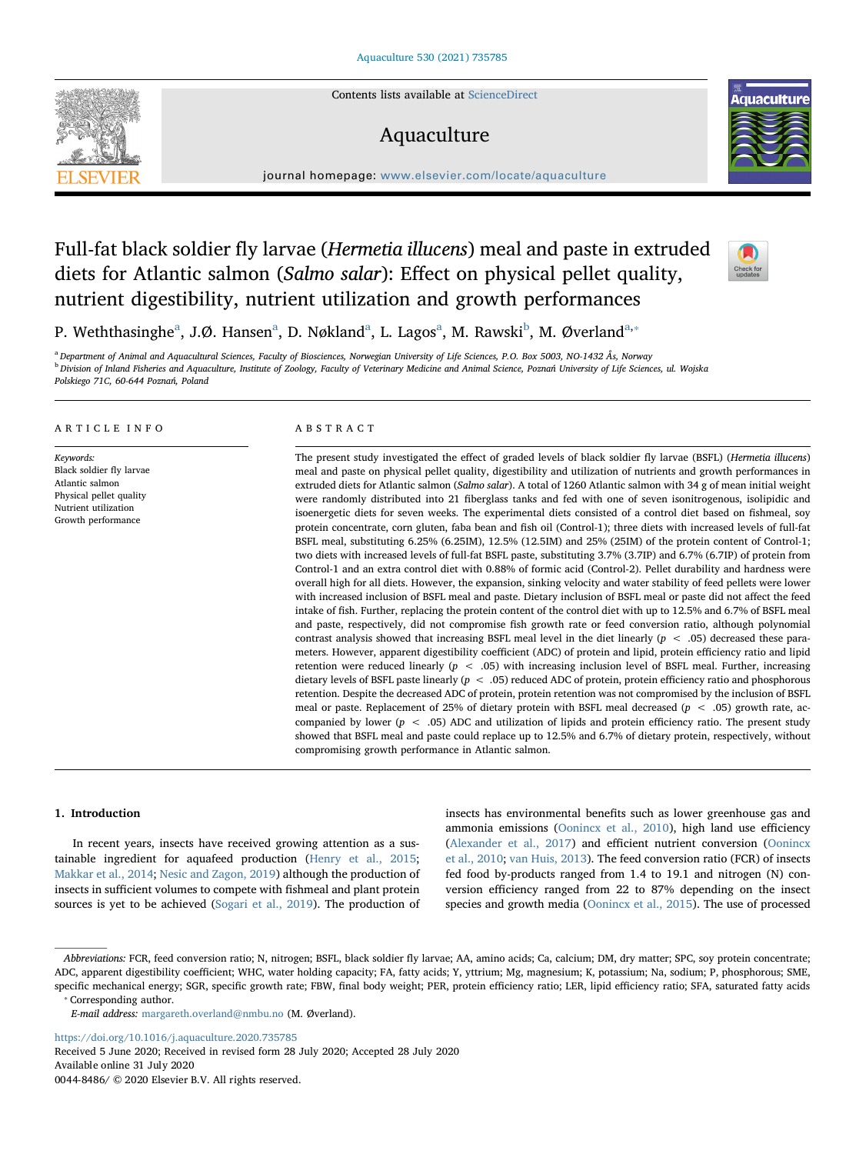Contents lists available at [ScienceDirect](http://www.sciencedirect.com/science/journal/00448486)

# Aquaculture



# Full-fat black soldier fly larvae (Hermetia illucens) meal and paste in extruded diets for Atlantic salmon (Salmo salar): Effect on physical pellet quality, nutrient digestibility, nutrient utilization and growth performances



**Aquaculture** 

P. Wethth[a](#page-0-0)singhe<sup>a</sup>, J.Ø. Hansen<sup>a</sup>, D. Nøkland<sup>a</sup>, L. Lagos<sup>a</sup>, M. Rawski<sup>b</sup>, M. Øverland<sup>[a,](#page-0-0)</sup>\*

<span id="page-0-1"></span><span id="page-0-0"></span>a Department of Animal and Aquacultural Sciences, Faculty of Biosciences, Norwegian University of Life Sciences, P.O. Box 5003, NO-1432 Ås, Norway <sup>b</sup> Division of Inland Fisheries and Aquaculture, Institute of Zoology, Faculty of Veterinary Medicine and Animal Science, Poznań University of Life Sciences, ul. Wojska Polskiego 71C, 60-644 Poznań, Poland

### ARTICLE INFO

Keywords: Black soldier fly larvae Atlantic salmon Physical pellet quality Nutrient utilization Growth performance

### ABSTRACT

The present study investigated the effect of graded levels of black soldier fly larvae (BSFL) (Hermetia illucens) meal and paste on physical pellet quality, digestibility and utilization of nutrients and growth performances in extruded diets for Atlantic salmon (Salmo salar). A total of 1260 Atlantic salmon with 34 g of mean initial weight were randomly distributed into 21 fiberglass tanks and fed with one of seven isonitrogenous, isolipidic and isoenergetic diets for seven weeks. The experimental diets consisted of a control diet based on fishmeal, soy protein concentrate, corn gluten, faba bean and fish oil (Control-1); three diets with increased levels of full-fat BSFL meal, substituting 6.25% (6.25IM), 12.5% (12.5IM) and 25% (25IM) of the protein content of Control-1; two diets with increased levels of full-fat BSFL paste, substituting 3.7% (3.7IP) and 6.7% (6.7IP) of protein from Control-1 and an extra control diet with 0.88% of formic acid (Control-2). Pellet durability and hardness were overall high for all diets. However, the expansion, sinking velocity and water stability of feed pellets were lower with increased inclusion of BSFL meal and paste. Dietary inclusion of BSFL meal or paste did not affect the feed intake of fish. Further, replacing the protein content of the control diet with up to 12.5% and 6.7% of BSFL meal and paste, respectively, did not compromise fish growth rate or feed conversion ratio, although polynomial contrast analysis showed that increasing BSFL meal level in the diet linearly  $(p < .05)$  decreased these parameters. However, apparent digestibility coefficient (ADC) of protein and lipid, protein efficiency ratio and lipid retention were reduced linearly ( $p < .05$ ) with increasing inclusion level of BSFL meal. Further, increasing dietary levels of BSFL paste linearly (p < .05) reduced ADC of protein, protein efficiency ratio and phosphorous retention. Despite the decreased ADC of protein, protein retention was not compromised by the inclusion of BSFL meal or paste. Replacement of 25% of dietary protein with BSFL meal decreased ( $p < .05$ ) growth rate, accompanied by lower ( $p < .05$ ) ADC and utilization of lipids and protein efficiency ratio. The present study showed that BSFL meal and paste could replace up to 12.5% and 6.7% of dietary protein, respectively, without compromising growth performance in Atlantic salmon.

## 1. Introduction

In recent years, insects have received growing attention as a sustainable ingredient for aquafeed production ([Henry et al., 2015](#page-10-0); [Makkar et al., 2014;](#page-10-1) [Nesic and Zagon, 2019\)](#page-10-2) although the production of insects in sufficient volumes to compete with fishmeal and plant protein sources is yet to be achieved [\(Sogari et al., 2019](#page-11-0)). The production of insects has environmental benefits such as lower greenhouse gas and ammonia emissions [\(Oonincx et al., 2010](#page-11-1)), high land use efficiency ([Alexander et al., 2017](#page-10-3)) and efficient nutrient conversion [\(Oonincx](#page-11-1) [et al., 2010](#page-11-1); [van Huis, 2013\)](#page-10-4). The feed conversion ratio (FCR) of insects fed food by-products ranged from 1.4 to 19.1 and nitrogen (N) conversion efficiency ranged from 22 to 87% depending on the insect species and growth media [\(Oonincx et al., 2015](#page-11-2)). The use of processed

<span id="page-0-2"></span>⁎ Corresponding author.

<https://doi.org/10.1016/j.aquaculture.2020.735785> Received 5 June 2020; Received in revised form 28 July 2020; Accepted 28 July 2020 Available online 31 July 2020

0044-8486/ © 2020 Elsevier B.V. All rights reserved.



Abbreviations: FCR, feed conversion ratio; N, nitrogen; BSFL, black soldier fly larvae; AA, amino acids; Ca, calcium; DM, dry matter; SPC, soy protein concentrate; ADC, apparent digestibility coefficient; WHC, water holding capacity; FA, fatty acids; Y, yttrium; Mg, magnesium; K, potassium; Na, sodium; P, phosphorous; SME, specific mechanical energy; SGR, specific growth rate; FBW, final body weight; PER, protein efficiency ratio; LER, lipid efficiency ratio; SFA, saturated fatty acids

E-mail address: [margareth.overland@nmbu.no](mailto:margareth.overland@nmbu.no) (M. Øverland).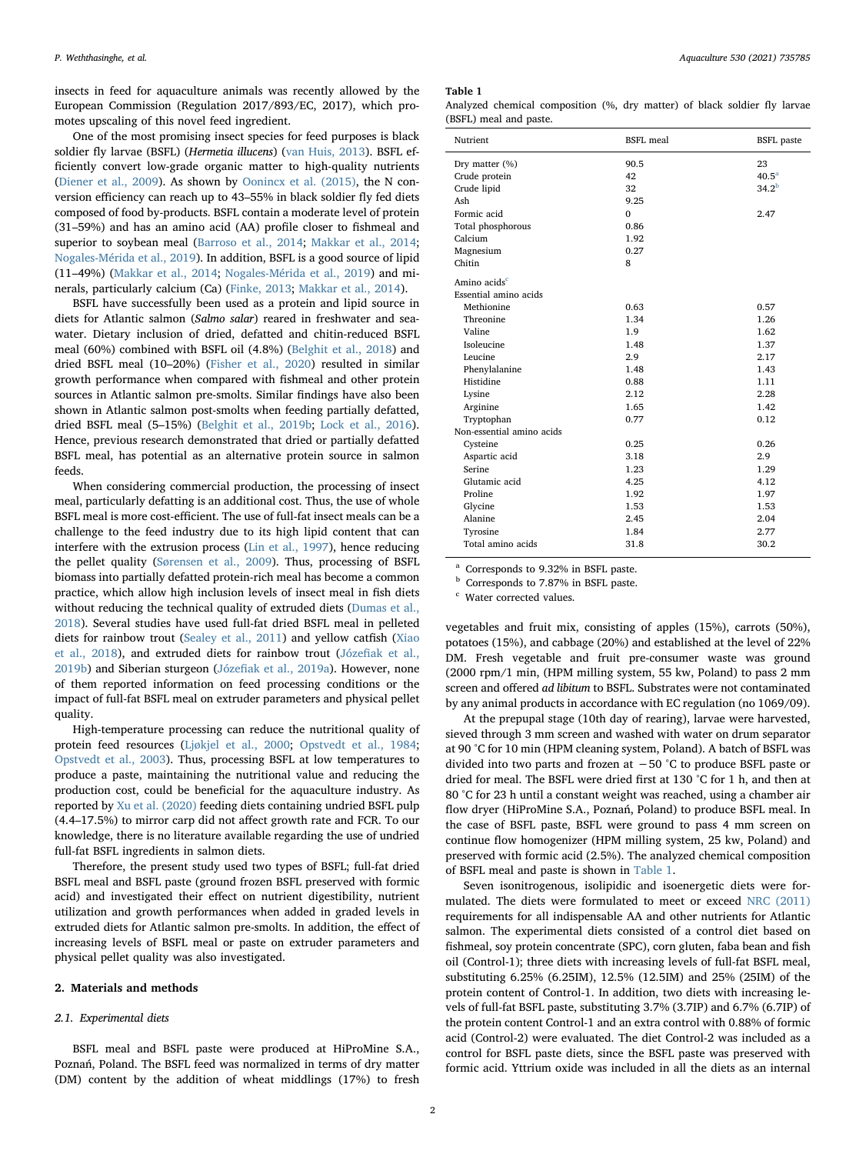insects in feed for aquaculture animals was recently allowed by the European Commission (Regulation 2017/893/EC, 2017), which promotes upscaling of this novel feed ingredient.

One of the most promising insect species for feed purposes is black soldier fly larvae (BSFL) (Hermetia illucens) ([van Huis, 2013](#page-10-4)). BSFL efficiently convert low-grade organic matter to high-quality nutrients ([Diener et al., 2009\)](#page-10-5). As shown by [Oonincx et al. \(2015\),](#page-11-2) the N conversion efficiency can reach up to 43–55% in black soldier fly fed diets composed of food by-products. BSFL contain a moderate level of protein (31–59%) and has an amino acid (AA) profile closer to fishmeal and superior to soybean meal ([Barroso et al., 2014;](#page-10-6) [Makkar et al., 2014](#page-10-1); [Nogales-Mérida et al., 2019\)](#page-11-3). In addition, BSFL is a good source of lipid (11–49%) [\(Makkar et al., 2014;](#page-10-1) [Nogales-Mérida et al., 2019\)](#page-11-3) and minerals, particularly calcium (Ca) [\(Finke, 2013;](#page-10-7) [Makkar et al., 2014\)](#page-10-1).

BSFL have successfully been used as a protein and lipid source in diets for Atlantic salmon (Salmo salar) reared in freshwater and seawater. Dietary inclusion of dried, defatted and chitin-reduced BSFL meal (60%) combined with BSFL oil (4.8%) ([Belghit et al., 2018\)](#page-10-8) and dried BSFL meal (10–20%) ([Fisher et al., 2020\)](#page-10-9) resulted in similar growth performance when compared with fishmeal and other protein sources in Atlantic salmon pre-smolts. Similar findings have also been shown in Atlantic salmon post-smolts when feeding partially defatted, dried BSFL meal (5–15%) ([Belghit et al., 2019b;](#page-10-10) [Lock et al., 2016](#page-10-11)). Hence, previous research demonstrated that dried or partially defatted BSFL meal, has potential as an alternative protein source in salmon feeds.

When considering commercial production, the processing of insect meal, particularly defatting is an additional cost. Thus, the use of whole BSFL meal is more cost-efficient. The use of full-fat insect meals can be a challenge to the feed industry due to its high lipid content that can interfere with the extrusion process ([Lin et al., 1997](#page-10-12)), hence reducing the pellet quality [\(Sørensen et al., 2009\)](#page-11-4). Thus, processing of BSFL biomass into partially defatted protein-rich meal has become a common practice, which allow high inclusion levels of insect meal in fish diets without reducing the technical quality of extruded diets [\(Dumas et al.,](#page-10-13) [2018\)](#page-10-13). Several studies have used full-fat dried BSFL meal in pelleted diets for rainbow trout (Sealey [et al., 2011](#page-11-5)) and yellow catfish ([Xiao](#page-11-6) [et al., 2018\)](#page-11-6), and extruded diets for rainbow trout (Józefi[ak et al.,](#page-10-14) [2019b\)](#page-10-14) and Siberian sturgeon (Józefi[ak et al., 2019a\)](#page-10-15). However, none of them reported information on feed processing conditions or the impact of full-fat BSFL meal on extruder parameters and physical pellet quality.

High-temperature processing can reduce the nutritional quality of protein feed resources [\(Ljøkjel et al., 2000;](#page-10-16) [Opstvedt et al., 1984](#page-11-7); [Opstvedt et al., 2003](#page-11-8)). Thus, processing BSFL at low temperatures to produce a paste, maintaining the nutritional value and reducing the production cost, could be beneficial for the aquaculture industry. As reported by [Xu et al. \(2020\)](#page-11-9) feeding diets containing undried BSFL pulp (4.4–17.5%) to mirror carp did not affect growth rate and FCR. To our knowledge, there is no literature available regarding the use of undried full-fat BSFL ingredients in salmon diets.

Therefore, the present study used two types of BSFL; full-fat dried BSFL meal and BSFL paste (ground frozen BSFL preserved with formic acid) and investigated their effect on nutrient digestibility, nutrient utilization and growth performances when added in graded levels in extruded diets for Atlantic salmon pre-smolts. In addition, the effect of increasing levels of BSFL meal or paste on extruder parameters and physical pellet quality was also investigated.

# 2. Materials and methods

### 2.1. Experimental diets

BSFL meal and BSFL paste were produced at HiProMine S.A., Poznań, Poland. The BSFL feed was normalized in terms of dry matter (DM) content by the addition of wheat middlings (17%) to fresh

#### <span id="page-1-0"></span>Table 1

|                        | Analyzed chemical composition (%, dry matter) of black soldier fly larvae |  |  |  |  |
|------------------------|---------------------------------------------------------------------------|--|--|--|--|
| (BSFL) meal and paste. |                                                                           |  |  |  |  |

| Nutrient                  | <b>BSFL</b> meal | <b>BSFL</b> paste |
|---------------------------|------------------|-------------------|
| Dry matter (%)            | 90.5             | 23                |
| Crude protein             | 42               | 40.5 <sup>a</sup> |
| Crude lipid               | 32               | $34.2^{b}$        |
| Ash                       | 9.25             |                   |
| Formic acid               | $\Omega$         | 2.47              |
| Total phosphorous         | 0.86             |                   |
| Calcium                   | 1.92             |                   |
| Magnesium                 | 0.27             |                   |
| Chitin                    | 8                |                   |
| Amino acids <sup>c</sup>  |                  |                   |
| Essential amino acids     |                  |                   |
| Methionine                | 0.63             | 0.57              |
| Threonine                 | 1.34             | 1.26              |
| Valine                    | 1.9              | 1.62              |
| Isoleucine                | 1.48             | 1.37              |
| Leucine                   | 2.9              | 2.17              |
| Phenylalanine             | 1.48             | 1.43              |
| Histidine                 | 0.88             | 1.11              |
| Lysine                    | 2.12             | 2.28              |
| Arginine                  | 1.65             | 1.42              |
| Tryptophan                | 0.77             | 0.12              |
| Non-essential amino acids |                  |                   |
| Cysteine                  | 0.25             | 0.26              |
| Aspartic acid             | 3.18             | 2.9               |
| <b>Serine</b>             | 1.23             | 1.29              |
| Glutamic acid             | 4.25             | 4.12              |
| Proline                   | 1.92             | 1.97              |
| Glycine                   | 1.53             | 1.53              |
| Alanine                   | 2.45             | 2.04              |
| Tyrosine                  | 1.84             | 2.77              |
| Total amino acids         | 31.8             | 30.2              |

<span id="page-1-1"></span>Corresponds to 9.32% in BSFL paste.

<span id="page-1-2"></span><sup>b</sup> Corresponds to 7.87% in BSFL paste.

<span id="page-1-3"></span><sup>c</sup> Water corrected values.

vegetables and fruit mix, consisting of apples (15%), carrots (50%), potatoes (15%), and cabbage (20%) and established at the level of 22% DM. Fresh vegetable and fruit pre-consumer waste was ground (2000 rpm/1 min, (HPM milling system, 55 kw, Poland) to pass 2 mm screen and offered ad libitum to BSFL. Substrates were not contaminated by any animal products in accordance with EC regulation (no 1069/09).

At the prepupal stage (10th day of rearing), larvae were harvested, sieved through 3 mm screen and washed with water on drum separator at 90 °C for 10 min (HPM cleaning system, Poland). A batch of BSFL was divided into two parts and frozen at −50 °C to produce BSFL paste or dried for meal. The BSFL were dried first at 130 °C for 1 h, and then at 80 °C for 23 h until a constant weight was reached, using a chamber air flow dryer (HiProMine S.A., Poznań, Poland) to produce BSFL meal. In the case of BSFL paste, BSFL were ground to pass 4 mm screen on continue flow homogenizer (HPM milling system, 25 kw, Poland) and preserved with formic acid (2.5%). The analyzed chemical composition of BSFL meal and paste is shown in [Table 1.](#page-1-0)

Seven isonitrogenous, isolipidic and isoenergetic diets were formulated. The diets were formulated to meet or exceed [NRC \(2011\)](#page-11-10) requirements for all indispensable AA and other nutrients for Atlantic salmon. The experimental diets consisted of a control diet based on fishmeal, soy protein concentrate (SPC), corn gluten, faba bean and fish oil (Control-1); three diets with increasing levels of full-fat BSFL meal, substituting 6.25% (6.25IM), 12.5% (12.5IM) and 25% (25IM) of the protein content of Control-1. In addition, two diets with increasing levels of full-fat BSFL paste, substituting 3.7% (3.7IP) and 6.7% (6.7IP) of the protein content Control-1 and an extra control with 0.88% of formic acid (Control-2) were evaluated. The diet Control-2 was included as a control for BSFL paste diets, since the BSFL paste was preserved with formic acid. Yttrium oxide was included in all the diets as an internal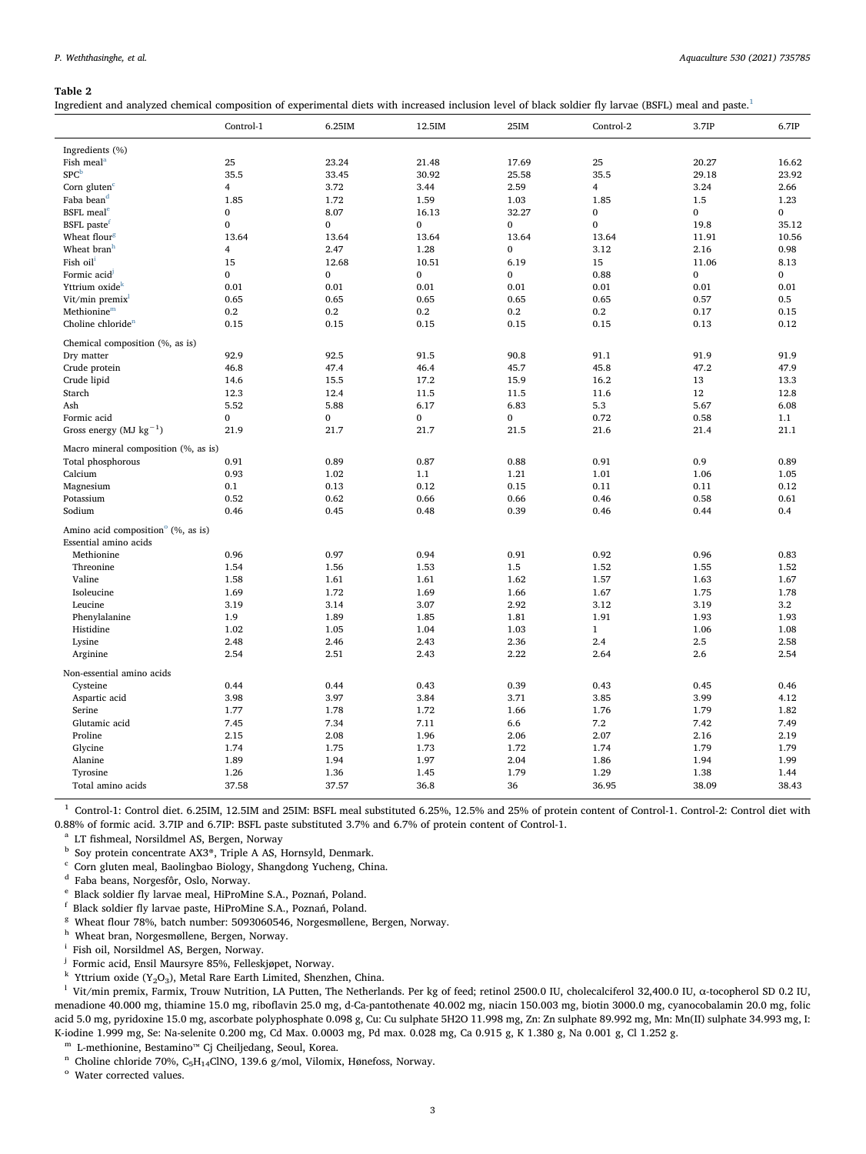<span id="page-2-16"></span>Ingredient and analyzed chemical composition of experimental diets with increased inclusion level of black soldier fly larvae (BSFL) meal and paste.[1](#page-2-0)

|                                                | Control-1      | 6.25IM       | 12.5IM       | 25IM         | Control-2    | 3.7IP        | 6.7IP        |
|------------------------------------------------|----------------|--------------|--------------|--------------|--------------|--------------|--------------|
| Ingredients (%)                                |                |              |              |              |              |              |              |
| Fish meal <sup>a</sup>                         | 25             | 23.24        | 21.48        | 17.69        | 25           | 20.27        | 16.62        |
| SPC <sup>b</sup>                               | 35.5           | 33.45        | 30.92        | 25.58        | 35.5         | 29.18        | 23.92        |
| Corn gluten $c$                                | $\overline{4}$ | 3.72         | 3.44         | 2.59         | 4            | 3.24         | 2.66         |
| Faba bean <sup>d</sup>                         | 1.85           | 1.72         | 1.59         | 1.03         | 1.85         | 1.5          | 1.23         |
| <b>BSFL</b> meal <sup>e</sup>                  | $\mathbf{0}$   | 8.07         | 16.13        | 32.27        | $\mathbf{0}$ | $\mathbf{0}$ | 0            |
| BSFL paste <sup>f</sup>                        | $\mathbf{0}$   | $\mathbf{0}$ | $\mathbf{0}$ | $\mathbf{0}$ | $\mathbf{0}$ | 19.8         | 35.12        |
| Wheat flour <sup>g</sup>                       | 13.64          | 13.64        | 13.64        | 13.64        | 13.64        | 11.91        | 10.56        |
| Wheat branh                                    | $\overline{4}$ | 2.47         | 1.28         | $\mathbf{0}$ | 3.12         | 2.16         | 0.98         |
| Fish oil <sup>1</sup>                          | 15             | 12.68        | 10.51        | 6.19         | 15           | 11.06        | 8.13         |
| Formic acid                                    | $\mathbf{0}$   | $\mathbf{0}$ | $\mathbf{0}$ | $\mathbf{0}$ | 0.88         | $\mathbf 0$  | $\mathbf{0}$ |
| Yttrium oxide <sup>k</sup>                     | 0.01           | 0.01         | 0.01         | 0.01         | 0.01         | 0.01         | 0.01         |
| Vit/min premix                                 | 0.65           | 0.65         | 0.65         | 0.65         | 0.65         | 0.57         | 0.5          |
| Methionine <sup>m</sup>                        | 0.2            | 0.2          | 0.2          | 0.2          | 0.2          | 0.17         | 0.15         |
| Choline chloride <sup>n</sup>                  | 0.15           | 0.15         | 0.15         | 0.15         | 0.15         | 0.13         | 0.12         |
|                                                |                |              |              |              |              |              |              |
| Chemical composition (%, as is)                |                |              |              |              |              |              |              |
| Dry matter                                     | 92.9           | 92.5         | 91.5         | 90.8         | 91.1         | 91.9         | 91.9         |
| Crude protein                                  | 46.8           | 47.4         | 46.4         | 45.7         | 45.8         | 47.2         | 47.9         |
| Crude lipid                                    | 14.6           | 15.5         | 17.2         | 15.9         | 16.2         | 13           | 13.3         |
| Starch                                         | 12.3           | 12.4         | 11.5         | 11.5         | 11.6         | 12           | 12.8         |
| Ash                                            | 5.52           | 5.88         | 6.17         | 6.83         | 5.3          | 5.67         | 6.08         |
| Formic acid                                    | $\mathbf{0}$   | $\bf{0}$     | $\bf{0}$     | $\bf{0}$     | 0.72         | 0.58         | 1.1          |
| Gross energy (MJ $kg^{-1}$ )                   | 21.9           | 21.7         | 21.7         | 21.5         | 21.6         | 21.4         | 21.1         |
| Macro mineral composition (%, as is)           |                |              |              |              |              |              |              |
| Total phosphorous                              | 0.91           | 0.89         | 0.87         | 0.88         | 0.91         | 0.9          | 0.89         |
| Calcium                                        | 0.93           | 1.02         | 1.1          | 1.21         | 1.01         | 1.06         | 1.05         |
| Magnesium                                      | 0.1            | 0.13         | 0.12         | 0.15         | 0.11         | 0.11         | 0.12         |
| Potassium                                      | 0.52           | 0.62         | 0.66         | 0.66         | 0.46         | 0.58         | 0.61         |
| Sodium                                         | 0.46           | 0.45         | 0.48         | 0.39         | 0.46         | 0.44         | 0.4          |
| Amino acid composition <sup>o</sup> (%, as is) |                |              |              |              |              |              |              |
| Essential amino acids                          |                |              |              |              |              |              |              |
| Methionine                                     | 0.96           | 0.97         | 0.94         | 0.91         | 0.92         | 0.96         | 0.83         |
| Threonine                                      | 1.54           | 1.56         | 1.53         | 1.5          | 1.52         | 1.55         | 1.52         |
| Valine                                         | 1.58           | 1.61         | 1.61         | 1.62         | 1.57         | 1.63         | 1.67         |
| Isoleucine                                     | 1.69           | 1.72         | 1.69         | 1.66         | 1.67         | 1.75         | 1.78         |
| Leucine                                        | 3.19           | 3.14         | 3.07         | 2.92         | 3.12         | 3.19         | 3.2          |
| Phenylalanine                                  | 1.9            | 1.89         | 1.85         | 1.81         | 1.91         | 1.93         | 1.93         |
| Histidine                                      | 1.02           | 1.05         | 1.04         | 1.03         | $\mathbf{1}$ | 1.06         | 1.08         |
| Lysine                                         | 2.48           | 2.46         | 2.43         | 2.36         | 2.4          | 2.5          | 2.58         |
| Arginine                                       | 2.54           | 2.51         | 2.43         | 2.22         | 2.64         | 2.6          | 2.54         |
| Non-essential amino acids                      |                |              |              |              |              |              |              |
| Cysteine                                       | 0.44           | 0.44         | 0.43         | 0.39         | 0.43         | 0.45         | 0.46         |
| Aspartic acid                                  | 3.98           | 3.97         | 3.84         | 3.71         | 3.85         | 3.99         | 4.12         |
| Serine                                         | 1.77           | 1.78         | 1.72         | 1.66         | 1.76         | 1.79         | 1.82         |
| Glutamic acid                                  | 7.45           | 7.34         | 7.11         | 6.6          | 7.2          | 7.42         | 7.49         |
| Proline                                        | 2.15           | 2.08         | 1.96         | 2.06         | 2.07         | 2.16         | 2.19         |
| Glycine                                        | 1.74           | 1.75         | 1.73         | 1.72         | 1.74         | 1.79         | 1.79         |
| Alanine                                        | 1.89           | 1.94         | 1.97         | 2.04         | 1.86         | 1.94         | 1.99         |
| Tyrosine                                       | 1.26           | 1.36         | 1.45         | 1.79         | 1.29         | 1.38         | 1.44         |
| Total amino acids                              | 37.58          | 37.57        | 36.8         | 36           | 36.95        | 38.09        | 38.43        |

<span id="page-2-0"></span><sup>1</sup> Control-1: Control diet. 6.25IM, 12.5IM and 25IM: BSFL meal substituted 6.25%, 12.5% and 25% of protein content of Control-1. Control-2: Control diet with 0.88% of formic acid. 3.7IP and 6.7IP: BSFL paste substituted 3.7% and 6.7% of protein content of Control-1.

<span id="page-2-1"></span><sup>a</sup> LT fishmeal, Norsildmel AS, Bergen, Norway

<span id="page-2-2"></span> $^{\rm b}$  Soy protein concentrate AX3®, Triple A AS, Hornsyld, Denmark.

<span id="page-2-3"></span><sup>c</sup> Corn gluten meal, Baolingbao Biology, Shangdong Yucheng, China.

<span id="page-2-4"></span><sup>d</sup> Faba beans, Norgesfôr, Oslo, Norway.

<span id="page-2-5"></span><sup>e</sup> Black soldier fly larvae meal, HiProMine S.A., Poznań, Poland.

<span id="page-2-6"></span><sup>f</sup> Black soldier fly larvae paste, HiProMine S.A., Poznań, Poland.

<span id="page-2-7"></span><sup>g</sup> Wheat flour 78%, batch number: 5093060546, Norgesmøllene, Bergen, Norway.

<span id="page-2-8"></span><sup>h</sup> Wheat bran, Norgesmøllene, Bergen, Norway.

<span id="page-2-9"></span><sup>i</sup> Fish oil, Norsildmel AS, Bergen, Norway.

<span id="page-2-10"></span><sup>j</sup> Formic acid, Ensil Maursyre 85%, Felleskjøpet, Norway.

<span id="page-2-12"></span><span id="page-2-11"></span><sup>k</sup> Yttrium oxide (Y<sub>2</sub>O<sub>3</sub>), Metal Rare Earth Limited, Shenzhen, China.<br><sup>1</sup> Vit/min premix, Farmix, Trouw Nutrition, LA Putten, The Netherlands. Per kg of feed; retinol 2500.0 IU, cholecalciferol 32,400.0 IU, α-tocophero menadione 40.000 mg, thiamine 15.0 mg, riboflavin 25.0 mg, d-Ca-pantothenate 40.002 mg, niacin 150.003 mg, biotin 3000.0 mg, cyanocobalamin 20.0 mg, folic acid 5.0 mg, pyridoxine 15.0 mg, ascorbate polyphosphate 0.098 g, Cu: Cu sulphate 5H2O 11.998 mg, Zn: Zn sulphate 89.992 mg, Mn: Mn(II) sulphate 34.993 mg, I: K-iodine 1.999 mg, Se: Na-selenite 0.200 mg, Cd Max. 0.0003 mg, Pd max. 0.028 mg, Ca 0.915 g, K 1.380 g, Na 0.001 g, Cl 1.252 g.

<span id="page-2-13"></span><sup>m</sup> L-methionine, Bestamino™ Cj Cheiljedang, Seoul, Korea.

<span id="page-2-14"></span>n Choline chloride 70%,  $\rm{C_5H_1_4CINO,$  139.6 g/mol, Vilomix, Hønefoss, Norway. $^{\rm o}$  Water corrected values.

<span id="page-2-15"></span>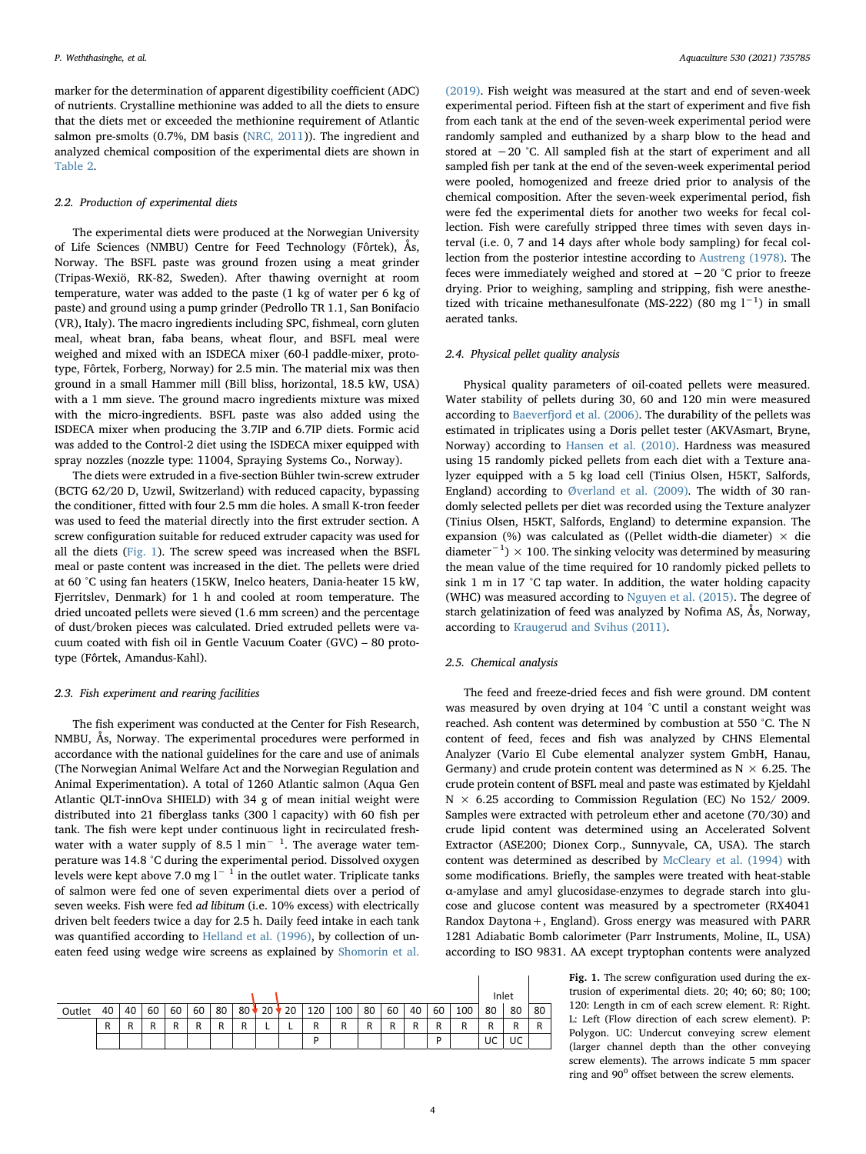marker for the determination of apparent digestibility coefficient (ADC) of nutrients. Crystalline methionine was added to all the diets to ensure that the diets met or exceeded the methionine requirement of Atlantic salmon pre-smolts (0.7%, DM basis [\(NRC, 2011](#page-11-10))). The ingredient and analyzed chemical composition of the experimental diets are shown in [Table 2](#page-2-16).

### 2.2. Production of experimental diets

The experimental diets were produced at the Norwegian University of Life Sciences (NMBU) Centre for Feed Technology (Fôrtek), Ås, Norway. The BSFL paste was ground frozen using a meat grinder (Tripas-Wexiö, RK-82, Sweden). After thawing overnight at room temperature, water was added to the paste (1 kg of water per 6 kg of paste) and ground using a pump grinder (Pedrollo TR 1.1, San Bonifacio (VR), Italy). The macro ingredients including SPC, fishmeal, corn gluten meal, wheat bran, faba beans, wheat flour, and BSFL meal were weighed and mixed with an ISDECA mixer (60-l paddle-mixer, prototype, Fôrtek, Forberg, Norway) for 2.5 min. The material mix was then ground in a small Hammer mill (Bill bliss, horizontal, 18.5 kW, USA) with a 1 mm sieve. The ground macro ingredients mixture was mixed with the micro-ingredients. BSFL paste was also added using the ISDECA mixer when producing the 3.7IP and 6.7IP diets. Formic acid was added to the Control-2 diet using the ISDECA mixer equipped with spray nozzles (nozzle type: 11004, Spraying Systems Co., Norway).

The diets were extruded in a five-section Bühler twin-screw extruder (BCTG 62/20 D, Uzwil, Switzerland) with reduced capacity, bypassing the conditioner, fitted with four 2.5 mm die holes. A small K-tron feeder was used to feed the material directly into the first extruder section. A screw configuration suitable for reduced extruder capacity was used for all the diets [\(Fig. 1](#page-3-0)). The screw speed was increased when the BSFL meal or paste content was increased in the diet. The pellets were dried at 60 °C using fan heaters (15KW, Inelco heaters, Dania-heater 15 kW, Fjerritslev, Denmark) for 1 h and cooled at room temperature. The dried uncoated pellets were sieved (1.6 mm screen) and the percentage of dust/broken pieces was calculated. Dried extruded pellets were vacuum coated with fish oil in Gentle Vacuum Coater (GVC) – 80 prototype (Fôrtek, Amandus-Kahl).

# 2.3. Fish experiment and rearing facilities

The fish experiment was conducted at the Center for Fish Research, NMBU, Ås, Norway. The experimental procedures were performed in accordance with the national guidelines for the care and use of animals (The Norwegian Animal Welfare Act and the Norwegian Regulation and Animal Experimentation). A total of 1260 Atlantic salmon (Aqua Gen Atlantic QLT-innOva SHIELD) with 34 g of mean initial weight were distributed into 21 fiberglass tanks (300 l capacity) with 60 fish per tank. The fish were kept under continuous light in recirculated freshwater with a water supply of 8.5 l  $min^{-1}$ . The average water temperature was 14.8 °C during the experimental period. Dissolved oxygen levels were kept above 7.0 mg l<sup>−1</sup> in the outlet water. Triplicate tanks of salmon were fed one of seven experimental diets over a period of seven weeks. Fish were fed ad libitum (i.e. 10% excess) with electrically driven belt feeders twice a day for 2.5 h. Daily feed intake in each tank was quantified according to [Helland et al. \(1996\)](#page-10-17), by collection of uneaten feed using wedge wire screens as explained by [Shomorin et al.](#page-11-11)

<span id="page-3-0"></span>

|        |    |    |    |    |    |    |        |        |    |     |     |    |    |    |    |     | Inlet |    |    |
|--------|----|----|----|----|----|----|--------|--------|----|-----|-----|----|----|----|----|-----|-------|----|----|
| Outlet | 40 | 40 | 60 | 60 | 60 | 80 | $80 +$ | $*20*$ | 20 | 120 | 100 | 80 | 60 | 40 | 60 | 100 | 80    | 80 | 80 |
|        | R  |    |    | R  | R  |    | R      |        |    | R   | R   |    | R  | R  | R  | R   | R     | R  |    |
|        |    |    |    |    |    |    |        |        |    | D   |     |    |    |    | D  |     | UC    | UC |    |

[\(2019\).](#page-11-11) Fish weight was measured at the start and end of seven-week experimental period. Fifteen fish at the start of experiment and five fish from each tank at the end of the seven-week experimental period were randomly sampled and euthanized by a sharp blow to the head and stored at −20 °C. All sampled fish at the start of experiment and all sampled fish per tank at the end of the seven-week experimental period were pooled, homogenized and freeze dried prior to analysis of the chemical composition. After the seven-week experimental period, fish were fed the experimental diets for another two weeks for fecal collection. Fish were carefully stripped three times with seven days interval (i.e. 0, 7 and 14 days after whole body sampling) for fecal collection from the posterior intestine according to [Austreng \(1978\)](#page-10-18). The feces were immediately weighed and stored at −20 °C prior to freeze drying. Prior to weighing, sampling and stripping, fish were anesthetized with tricaine methanesulfonate (MS-222) (80 mg  $l^{-1}$ ) in small aerated tanks.

# 2.4. Physical pellet quality analysis

Physical quality parameters of oil-coated pellets were measured. Water stability of pellets during 30, 60 and 120 min were measured according to [Baeverfjord et al. \(2006\)](#page-10-19). The durability of the pellets was estimated in triplicates using a Doris pellet tester (AKVAsmart, Bryne, Norway) according to [Hansen et al. \(2010\)](#page-10-20). Hardness was measured using 15 randomly picked pellets from each diet with a Texture analyzer equipped with a 5 kg load cell (Tinius Olsen, H5KT, Salfords, England) according to [Øverland et al. \(2009\)](#page-11-12). The width of 30 randomly selected pellets per diet was recorded using the Texture analyzer (Tinius Olsen, H5KT, Salfords, England) to determine expansion. The expansion (%) was calculated as ((Pellet width-die diameter)  $\times$  die diameter<sup>-1</sup>) × 100. The sinking velocity was determined by measuring the mean value of the time required for 10 randomly picked pellets to sink 1 m in 17 °C tap water. In addition, the water holding capacity (WHC) was measured according to [Nguyen et al. \(2015\).](#page-11-13) The degree of starch gelatinization of feed was analyzed by Nofima AS, Ås, Norway, according to [Kraugerud and Svihus \(2011\).](#page-10-21)

# 2.5. Chemical analysis

The feed and freeze-dried feces and fish were ground. DM content was measured by oven drying at 104 °C until a constant weight was reached. Ash content was determined by combustion at 550 °C. The N content of feed, feces and fish was analyzed by CHNS Elemental Analyzer (Vario El Cube elemental analyzer system GmbH, Hanau, Germany) and crude protein content was determined as  $N \times 6.25$ . The crude protein content of BSFL meal and paste was estimated by Kjeldahl  $N \times 6.25$  according to Commission Regulation (EC) No 152/2009. Samples were extracted with petroleum ether and acetone (70/30) and crude lipid content was determined using an Accelerated Solvent Extractor (ASE200; Dionex Corp., Sunnyvale, CA, USA). The starch content was determined as described by [McCleary et al. \(1994\)](#page-10-22) with some modifications. Briefly, the samples were treated with heat-stable α-amylase and amyl glucosidase-enzymes to degrade starch into glucose and glucose content was measured by a spectrometer (RX4041 Randox Daytona+, England). Gross energy was measured with PARR 1281 Adiabatic Bomb calorimeter (Parr Instruments, Moline, IL, USA) according to ISO 9831. AA except tryptophan contents were analyzed

> Fig. 1. The screw configuration used during the extrusion of experimental diets. 20; 40; 60; 80; 100; 120: Length in cm of each screw element. R: Right. L: Left (Flow direction of each screw element). P: Polygon. UC: Undercut conveying screw element (larger channel depth than the other conveying screw elements). The arrows indicate 5 mm spacer ring and  $90^{\circ}$  offset between the screw elements.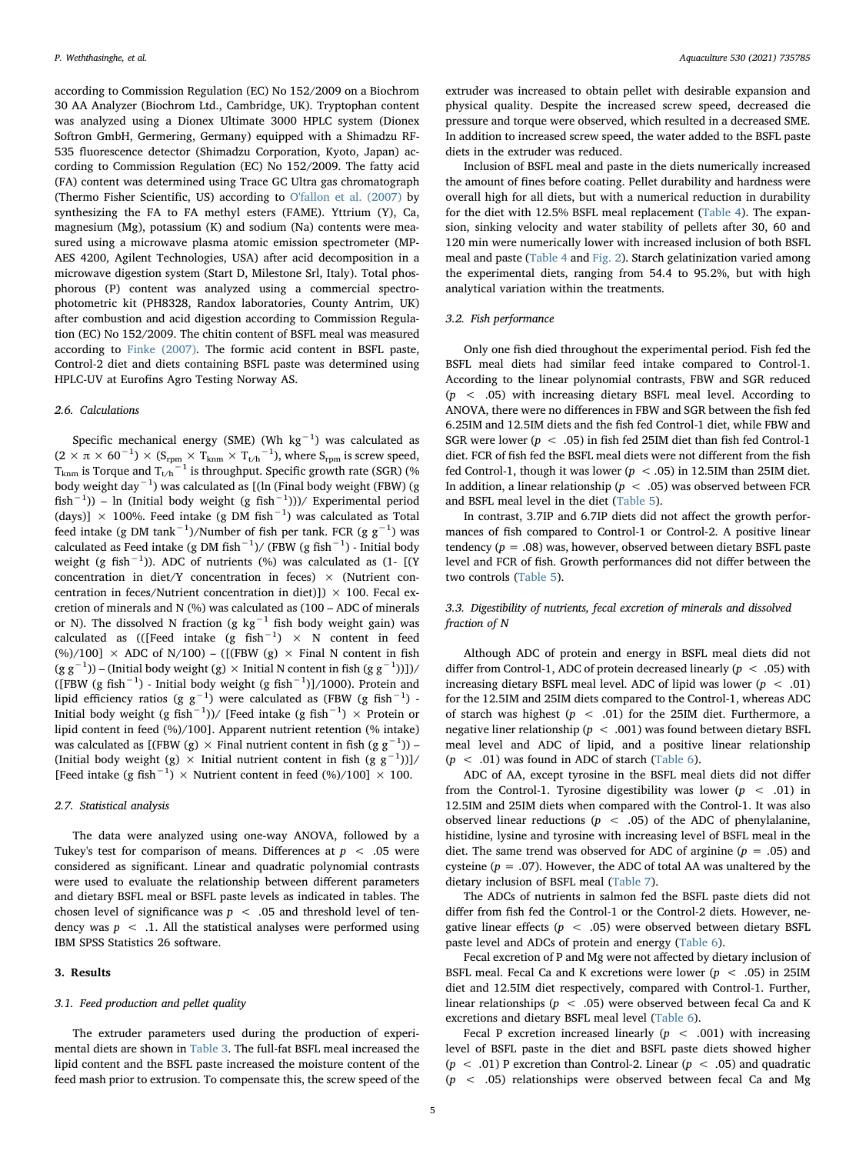according to Commission Regulation (EC) No 152/2009 on a Biochrom 30 AA Analyzer (Biochrom Ltd., Cambridge, UK). Tryptophan content was analyzed using a Dionex Ultimate 3000 HPLC system (Dionex Softron GmbH, Germering, Germany) equipped with a Shimadzu RF-535 fluorescence detector (Shimadzu Corporation, Kyoto, Japan) according to Commission Regulation (EC) No 152/2009. The fatty acid (FA) content was determined using Trace GC Ultra gas chromatograph (Thermo Fisher Scientific, US) according to [O'fallon et al. \(2007\)](#page-11-14) by synthesizing the FA to FA methyl esters (FAME). Yttrium (Y), Ca, magnesium (Mg), potassium (K) and sodium (Na) contents were measured using a microwave plasma atomic emission spectrometer (MP-AES 4200, Agilent Technologies, USA) after acid decomposition in a microwave digestion system (Start D, Milestone Srl, Italy). Total phosphorous (P) content was analyzed using a commercial spectrophotometric kit (PH8328, Randox laboratories, County Antrim, UK) after combustion and acid digestion according to Commission Regulation (EC) No 152/2009. The chitin content of BSFL meal was measured according to [Finke \(2007\)](#page-10-23). The formic acid content in BSFL paste, Control-2 diet and diets containing BSFL paste was determined using HPLC-UV at Eurofins Agro Testing Norway AS.

# 2.6. Calculations

Specific mechanical energy (SME) (Wh  $kg^{-1}$ ) was calculated as  $(2\times\pi\times 60^{-1})\times(\text{S}_{\text{rpm}}\times\text{T}_{\text{knm}}\times \text{T}_{\text{t/h}}{}^{-1})$ , where  $\text{S}_{\text{rpm}}$  is screw speed,  $T_{\text{kmm}}$  is Torque and  $T_{\text{t/h}}$ <sup>-1</sup> is throughput. Specific growth rate (SGR) (% body weight day−<sup>1</sup> ) was calculated as [(ln (Final body weight (FBW) (g fish−<sup>1</sup> )) – ln (Initial body weight (g fish−<sup>1</sup> )))/ Experimental period (days)]  $\times$  100%. Feed intake (g DM fish $^{-1}$ ) was calculated as Total feed intake (g DM tank $^{-1}$ )/Number of fish per tank. FCR (g g $^{-1}$ ) was calculated as Feed intake (g DM fish $^{-1}$ )/ (FBW (g fish $^{-1}$ ) - Initial body weight (g fish $^{-1}$ )). ADC of nutrients (%) was calculated as (1- [(Y concentration in diet/Y concentration in feces)  $\times$  (Nutrient concentration in feces/Nutrient concentration in diet)])  $\times$  100. Fecal excretion of minerals and N (%) was calculated as (100 – ADC of minerals or N). The dissolved N fraction (g kg<sup>-1</sup> fish body weight gain) was calculated as (([Feed intake (g fish<sup>-1</sup>) × N content in feed (%)/100]  $\times$  ADC of N/100) – ([(FBW (g)  $\times$  Final N content in fish (g g<sup>-1</sup>)) – (Initial body weight (g) × Initial N content in fish (g g<sup>-1</sup>))])/ ([FBW (g fish<sup>-1</sup>) - Initial body weight (g fish<sup>-1</sup>)]/1000). Protein and lipid efficiency ratios (g  $\rm g^{-1})$  were calculated as (FBW (g fish $^{-1})$  -Initial body weight (g fish $^{-1}$ ))/ [Feed intake (g fish $^{-1})\,\times$  Protein or lipid content in feed (%)/100]. Apparent nutrient retention (% intake) was calculated as [(FBW (g)  $\times$  Final nutrient content in fish (g g<sup>-1</sup>)) – (Initial body weight (g) × Initial nutrient content in fish (g  $g^{-1}$ ))]/ [Feed intake (g fish<sup>-1</sup>) × Nutrient content in feed (%)/100] × 100.

### 2.7. Statistical analysis

The data were analyzed using one-way ANOVA, followed by a Tukey's test for comparison of means. Differences at  $p < .05$  were considered as significant. Linear and quadratic polynomial contrasts were used to evaluate the relationship between different parameters and dietary BSFL meal or BSFL paste levels as indicated in tables. The chosen level of significance was  $p < .05$  and threshold level of tendency was  $p \leq 1$ . All the statistical analyses were performed using IBM SPSS Statistics 26 software.

# 3. Results

### 3.1. Feed production and pellet quality

The extruder parameters used during the production of experimental diets are shown in [Table 3.](#page-5-0) The full-fat BSFL meal increased the lipid content and the BSFL paste increased the moisture content of the feed mash prior to extrusion. To compensate this, the screw speed of the

extruder was increased to obtain pellet with desirable expansion and physical quality. Despite the increased screw speed, decreased die pressure and torque were observed, which resulted in a decreased SME. In addition to increased screw speed, the water added to the BSFL paste diets in the extruder was reduced.

Inclusion of BSFL meal and paste in the diets numerically increased the amount of fines before coating. Pellet durability and hardness were overall high for all diets, but with a numerical reduction in durability for the diet with 12.5% BSFL meal replacement [\(Table 4](#page-5-1)). The expansion, sinking velocity and water stability of pellets after 30, 60 and 120 min were numerically lower with increased inclusion of both BSFL meal and paste [\(Table 4](#page-5-1) and [Fig. 2](#page-5-2)). Starch gelatinization varied among the experimental diets, ranging from 54.4 to 95.2%, but with high analytical variation within the treatments.

# 3.2. Fish performance

Only one fish died throughout the experimental period. Fish fed the BSFL meal diets had similar feed intake compared to Control-1. According to the linear polynomial contrasts, FBW and SGR reduced  $(p \lt 0.05)$  with increasing dietary BSFL meal level. According to ANOVA, there were no differences in FBW and SGR between the fish fed 6.25IM and 12.5IM diets and the fish fed Control-1 diet, while FBW and SGR were lower ( $p < .05$ ) in fish fed 25IM diet than fish fed Control-1 diet. FCR of fish fed the BSFL meal diets were not different from the fish fed Control-1, though it was lower ( $p < .05$ ) in 12.5IM than 25IM diet. In addition, a linear relationship ( $p < .05$ ) was observed between FCR and BSFL meal level in the diet [\(Table 5\)](#page-6-0).

In contrast, 3.7IP and 6.7IP diets did not affect the growth performances of fish compared to Control-1 or Control-2. A positive linear tendency ( $p = .08$ ) was, however, observed between dietary BSFL paste level and FCR of fish. Growth performances did not differ between the two controls [\(Table 5](#page-6-0)).

# 3.3. Digestibility of nutrients, fecal excretion of minerals and dissolved fraction of N

Although ADC of protein and energy in BSFL meal diets did not differ from Control-1, ADC of protein decreased linearly ( $p < .05$ ) with increasing dietary BSFL meal level. ADC of lipid was lower  $(p < .01)$ for the 12.5IM and 25IM diets compared to the Control-1, whereas ADC of starch was highest ( $p < .01$ ) for the 25IM diet. Furthermore, a negative liner relationship ( $p < .001$ ) was found between dietary BSFL meal level and ADC of lipid, and a positive linear relationship  $(p < .01)$  was found in ADC of starch ([Table 6\)](#page-6-1).

ADC of AA, except tyrosine in the BSFL meal diets did not differ from the Control-1. Tyrosine digestibility was lower ( $p < .01$ ) in 12.5IM and 25IM diets when compared with the Control-1. It was also observed linear reductions ( $p < .05$ ) of the ADC of phenylalanine, histidine, lysine and tyrosine with increasing level of BSFL meal in the diet. The same trend was observed for ADC of arginine ( $p = .05$ ) and cysteine ( $p = .07$ ). However, the ADC of total AA was unaltered by the dietary inclusion of BSFL meal [\(Table 7](#page-7-0)).

The ADCs of nutrients in salmon fed the BSFL paste diets did not differ from fish fed the Control-1 or the Control-2 diets. However, negative linear effects ( $p < .05$ ) were observed between dietary BSFL paste level and ADCs of protein and energy [\(Table 6](#page-6-1)).

Fecal excretion of P and Mg were not affected by dietary inclusion of BSFL meal. Fecal Ca and K excretions were lower ( $p < .05$ ) in 25IM diet and 12.5IM diet respectively, compared with Control-1. Further, linear relationships ( $p < .05$ ) were observed between fecal Ca and K excretions and dietary BSFL meal level ([Table 6](#page-6-1)).

Fecal P excretion increased linearly  $(p \lt 0.001)$  with increasing level of BSFL paste in the diet and BSFL paste diets showed higher  $(p < .01)$  P excretion than Control-2. Linear  $(p < .05)$  and quadratic  $(p \sim .05)$  relationships were observed between fecal Ca and Mg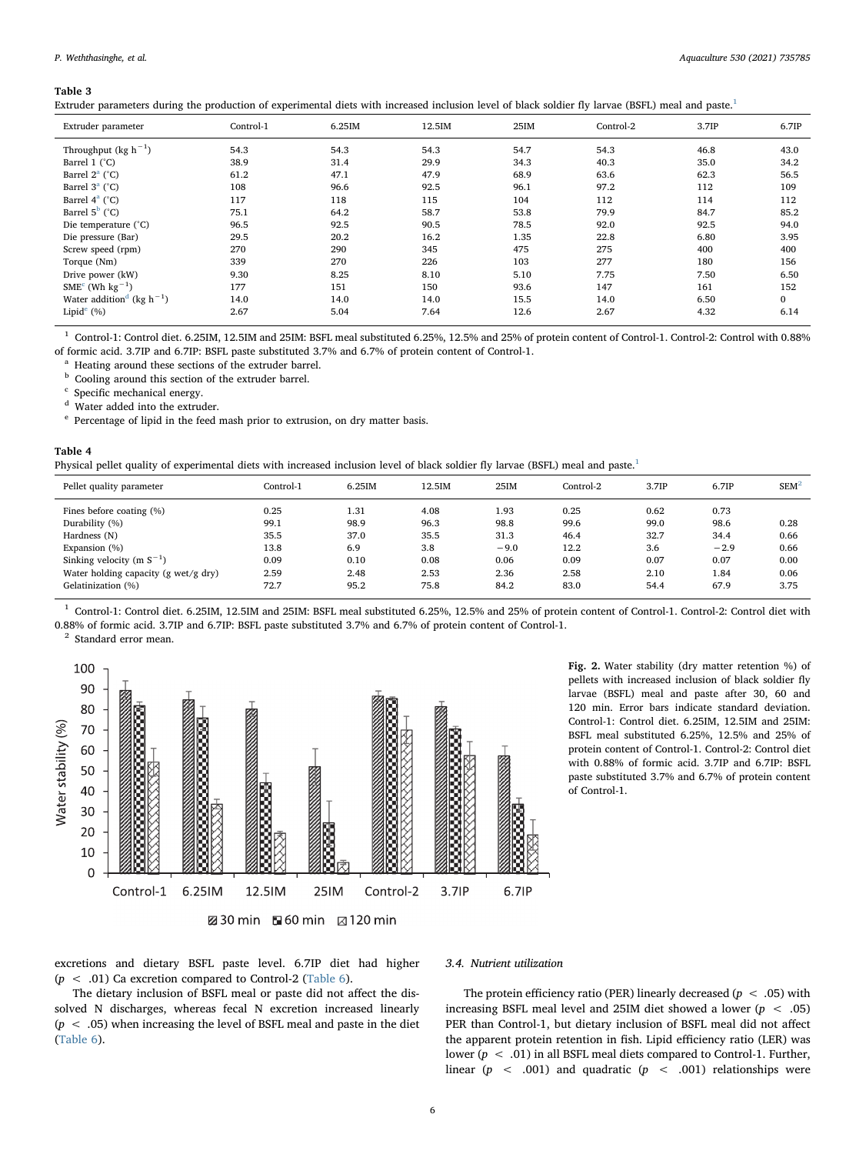<span id="page-5-0"></span>Extruder parameters during the production of experimental diets with increased inclusion level of black soldier fly larvae (BSFL) meal and paste.[1](#page-5-3)

| Extruder parameter                                | Control-1 | 6.25IM | 12.5IM | 25IM | Control-2 | 3.7IP | 6.7IP        |
|---------------------------------------------------|-----------|--------|--------|------|-----------|-------|--------------|
| Throughput (kg $h^{-1}$ )                         | 54.3      | 54.3   | 54.3   | 54.7 | 54.3      | 46.8  | 43.0         |
| Barrel 1 (°C)                                     | 38.9      | 31.4   | 29.9   | 34.3 | 40.3      | 35.0  | 34.2         |
| Barrel $2^a$ (°C)                                 | 61.2      | 47.1   | 47.9   | 68.9 | 63.6      | 62.3  | 56.5         |
| Barrel $3^a$ (°C)                                 | 108       | 96.6   | 92.5   | 96.1 | 97.2      | 112   | 109          |
| Barrel $4^a$ ( $^{\circ}$ C)                      | 117       | 118    | 115    | 104  | 112       | 114   | 112          |
| Barrel $5^b$ ( $°C$ )                             | 75.1      | 64.2   | 58.7   | 53.8 | 79.9      | 84.7  | 85.2         |
| Die temperature (°C)                              | 96.5      | 92.5   | 90.5   | 78.5 | 92.0      | 92.5  | 94.0         |
| Die pressure (Bar)                                | 29.5      | 20.2   | 16.2   | 1.35 | 22.8      | 6.80  | 3.95         |
| Screw speed (rpm)                                 | 270       | 290    | 345    | 475  | 275       | 400   | 400          |
| Torque (Nm)                                       | 339       | 270    | 226    | 103  | 277       | 180   | 156          |
| Drive power (kW)                                  | 9.30      | 8.25   | 8.10   | 5.10 | 7.75      | 7.50  | 6.50         |
| $SMEc$ (Wh kg <sup>-1</sup> )                     | 177       | 151    | 150    | 93.6 | 147       | 161   | 152          |
| Water addition <sup>d</sup> (kg h <sup>-1</sup> ) | 14.0      | 14.0   | 14.0   | 15.5 | 14.0      | 6.50  | $\mathbf{0}$ |
| Lipid $^e$ (%)                                    | 2.67      | 5.04   | 7.64   | 12.6 | 2.67      | 4.32  | 6.14         |

<span id="page-5-3"></span> $1$  Control-1: Control diet. 6.25IM, 12.5IM and 25IM: BSFL meal substituted 6.25%, 12.5% and 25% of protein content of Control-1. Control-2: Control with 0.88% of formic acid. 3.7IP and 6.7IP: BSFL paste substituted 3.7% and 6.7% of protein content of Control-1.

<span id="page-5-4"></span>Heating around these sections of the extruder barrel.

<span id="page-5-5"></span>**b** Cooling around this section of the extruder barrel.

<span id="page-5-6"></span>Specific mechanical energy.

<span id="page-5-7"></span><sup>d</sup> Water added into the extruder.

<span id="page-5-8"></span> $^{\rm e}$  Percentage of lipid in the feed mash prior to extrusion, on dry matter basis.

### <span id="page-5-1"></span>Table 4

Physical pellet quality of experimental diets with increased inclusion level of black soldier fly larvae (BSFL) meal and paste.<sup>[1](#page-5-9)</sup>

| Pellet quality parameter             | Control-1 | 6.25IM | 12.5IM | 25IM   | Control-2 | 3.7IP | 6.7IP  | $SEM^2$ |
|--------------------------------------|-----------|--------|--------|--------|-----------|-------|--------|---------|
| Fines before coating (%)             | 0.25      | 1.31   | 4.08   | 1.93   | 0.25      | 0.62  | 0.73   |         |
| Durability (%)                       | 99.1      | 98.9   | 96.3   | 98.8   | 99.6      | 99.0  | 98.6   | 0.28    |
| Hardness (N)                         | 35.5      | 37.0   | 35.5   | 31.3   | 46.4      | 32.7  | 34.4   | 0.66    |
| Expansion (%)                        | 13.8      | 6.9    | 3.8    | $-9.0$ | 12.2      | 3.6   | $-2.9$ | 0.66    |
| Sinking velocity (m $S^{-1}$ )       | 0.09      | 0.10   | 0.08   | 0.06   | 0.09      | 0.07  | 0.07   | 0.00    |
| Water holding capacity (g wet/g dry) | 2.59      | 2.48   | 2.53   | 2.36   | 2.58      | 2.10  | 1.84   | 0.06    |
| Gelatinization (%)                   | 72.7      | 95.2   | 75.8   | 84.2   | 83.0      | 54.4  | 67.9   | 3.75    |
|                                      |           |        |        |        |           |       |        |         |

<span id="page-5-9"></span><sup>1</sup> Control-1: Control diet. 6.25IM, 12.5IM and 25IM: BSFL meal substituted 6.25%, 12.5% and 25% of protein content of Control-1. Control-2: Control diet with 0.88% of formic acid. 3.7IP and 6.7IP: BSFL paste substituted 3.7% and 6.7% of protein content of Control-1.

<span id="page-5-10"></span><span id="page-5-2"></span>

Fig. 2. Water stability (dry matter retention %) of pellets with increased inclusion of black soldier fly larvae (BSFL) meal and paste after 30, 60 and 120 min. Error bars indicate standard deviation. Control-1: Control diet. 6.25IM, 12.5IM and 25IM: BSFL meal substituted 6.25%, 12.5% and 25% of protein content of Control-1. Control-2: Control diet with 0.88% of formic acid. 3.7IP and 6.7IP: BSFL paste substituted 3.7% and 6.7% of protein content of Control-1.

excretions and dietary BSFL paste level. 6.7IP diet had higher  $(p < .01)$  Ca excretion compared to Control-2 [\(Table 6\)](#page-6-1).

The dietary inclusion of BSFL meal or paste did not affect the dissolved N discharges, whereas fecal N excretion increased linearly  $(p < .05)$  when increasing the level of BSFL meal and paste in the diet ([Table 6](#page-6-1)).

### 3.4. Nutrient utilization

The protein efficiency ratio (PER) linearly decreased ( $p < .05$ ) with increasing BSFL meal level and 25IM diet showed a lower ( $p < .05$ ) PER than Control-1, but dietary inclusion of BSFL meal did not affect the apparent protein retention in fish. Lipid efficiency ratio (LER) was lower ( $p < .01$ ) in all BSFL meal diets compared to Control-1. Further, linear ( $p \leq .001$ ) and quadratic ( $p \leq .001$ ) relationships were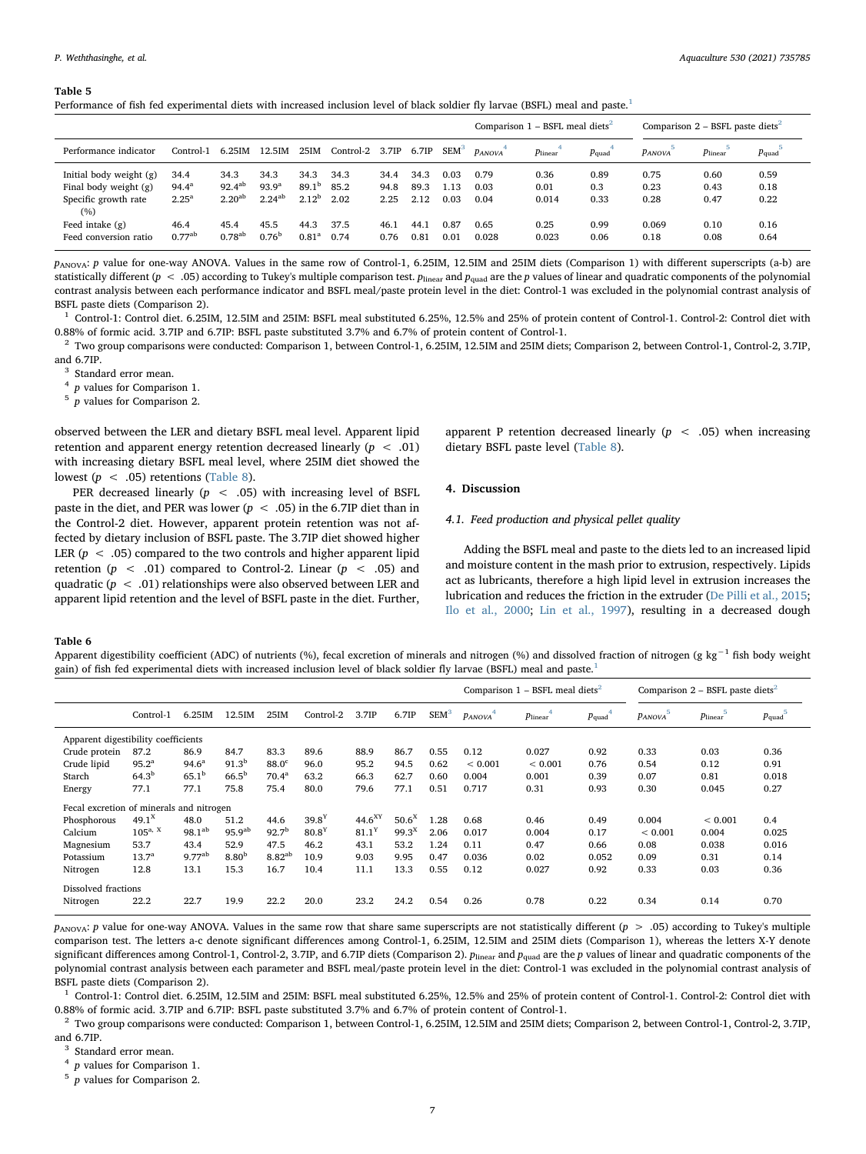<span id="page-6-0"></span>Performance of fish fed experimental diets with increased inclusion level of black soldier fly larvae (BSFL) meal and paste.<sup>[1](#page-6-2)</sup>

|                                                                                     |                                          |                                           |                                          |                                       |                      |                      |                      |                                 |                      | Comparison $1 - BSEL$ meal diets <sup>2</sup> |                     |                      | Comparison $2 - BSEL$ paste diets <sup>2</sup> |                      |
|-------------------------------------------------------------------------------------|------------------------------------------|-------------------------------------------|------------------------------------------|---------------------------------------|----------------------|----------------------|----------------------|---------------------------------|----------------------|-----------------------------------------------|---------------------|----------------------|------------------------------------------------|----------------------|
| Performance indicator                                                               | Control-1                                | 6.25IM                                    | 12.5IM                                   | 25IM                                  | Control-2 3.7IP      |                      | 6.7IP                | <b>SEM</b> <sup>3</sup>         | <b>PANOVA</b>        | $p_{linear}$                                  | $p_{\text{quad}}$   | <b>PANOVA</b>        | $p_{linear}$                                   | $p_{\text{quad}}$    |
| Initial body weight $(g)$<br>Final body weight $(g)$<br>Specific growth rate<br>(%) | 34.4<br>$94.4^{\rm a}$<br>$2.25^{\circ}$ | 34.3<br>$92.4^{ab}$<br>2.20 <sup>ab</sup> | 34.3<br>93.9 <sup>a</sup><br>$2.24^{ab}$ | 34.3<br>89.1 <sup>b</sup><br>$2.12^b$ | 34.3<br>85.2<br>2.02 | 34.4<br>94.8<br>2.25 | 34.3<br>89.3<br>2.12 | 0.03<br>$\overline{13}$<br>0.03 | 0.79<br>0.03<br>0.04 | 0.36<br>0.01<br>0.014                         | 0.89<br>0.3<br>0.33 | 0.75<br>0.23<br>0.28 | 0.60<br>0.43<br>0.47                           | 0.59<br>0.18<br>0.22 |
| Feed intake $(g)$<br>Feed conversion ratio                                          | 46.4<br>$0.77^{ab}$                      | 45.4<br>$0.78^{ab}$                       | 45.5<br>$0.76^{b}$                       | 44.3<br>$0.81^{\circ}$                | 37.5<br>0.74         | 46.1<br>0.76         | 44.1<br>0.81         | 0.87<br>0.01                    | 0.65<br>0.028        | 0.25<br>0.023                                 | 0.99<br>0.06        | 0.069<br>0.18        | 0.10<br>0.08                                   | 0.16<br>0.64         |

PANOVA: P value for one-way ANOVA. Values in the same row of Control-1, 6.25IM, 12.5IM and 25IM diets (Comparison 1) with different superscripts (a-b) are statistically different ( $p < .05$ ) according to Tukey's multiple comparison test.  $p_{linear}$  and  $p_{quad}$  are the p values of linear and quadratic components of the polynomial contrast analysis between each performance indicator and BSFL meal/paste protein level in the diet: Control-1 was excluded in the polynomial contrast analysis of BSFL paste diets (Comparison 2).

<span id="page-6-2"></span> $1$  Control-1: Control diet. 6.25IM, 12.5IM and 25IM: BSFL meal substituted 6.25%, 12.5% and 25% of protein content of Control-1. Control-2: Control diet with 0.88% of formic acid. 3.7IP and 6.7IP: BSFL paste substituted 3.7% and 6.7% of protein content of Control-1.

<span id="page-6-3"></span> $^2$  Two group comparisons were conducted: Comparison 1, between Control-1, 6.25IM, 12.5IM and 25IM diets; Comparison 2, between Control-1, Control-2, 3.7IP, and 6.7IP.

<span id="page-6-4"></span><sup>3</sup> Standard error mean.

<span id="page-6-5"></span><sup>4</sup> p values for Comparison 1.

<span id="page-6-6"></span> $5\overline{p}$  values for Comparison 2.

observed between the LER and dietary BSFL meal level. Apparent lipid retention and apparent energy retention decreased linearly  $(p < .01)$ with increasing dietary BSFL meal level, where 25IM diet showed the lowest ( $p < .05$ ) retentions [\(Table 8\)](#page-8-0).

PER decreased linearly ( $p < .05$ ) with increasing level of BSFL paste in the diet, and PER was lower ( $p < .05$ ) in the 6.7IP diet than in the Control-2 diet. However, apparent protein retention was not affected by dietary inclusion of BSFL paste. The 3.7IP diet showed higher LER ( $p < .05$ ) compared to the two controls and higher apparent lipid retention ( $p \sim .01$ ) compared to Control-2. Linear ( $p \sim .05$ ) and quadratic ( $p < .01$ ) relationships were also observed between LER and apparent lipid retention and the level of BSFL paste in the diet. Further,

apparent P retention decreased linearly  $(p \lt 0.05)$  when increasing dietary BSFL paste level ([Table 8](#page-8-0)).

# 4. Discussion

# 4.1. Feed production and physical pellet quality

Adding the BSFL meal and paste to the diets led to an increased lipid and moisture content in the mash prior to extrusion, respectively. Lipids act as lubricants, therefore a high lipid level in extrusion increases the lubrication and reduces the friction in the extruder ([De Pilli et al., 2015](#page-10-24); [Ilo et al., 2000;](#page-10-25) [Lin et al., 1997](#page-10-12)), resulting in a decreased dough

#### <span id="page-6-1"></span>Table 6

Apparent digestibility coefficient (ADC) of nutrients (%), fecal excretion of minerals and nitrogen (%) and dissolved fraction of nitrogen (g kg<sup>-1</sup> fish body weight gain) of fish fed experimental diets with increased inclusion level of black soldier fly larvae (BSFL) meal and paste.[1](#page-6-7)

|                                          |                   |                   |                    |                   |                   |                    |                   |                  |               | Comparison $1 - BSEL$ meal diets <sup>2</sup> |                   |                    | Comparison $2 - BSFL$ paste diets <sup>2</sup> |                   |
|------------------------------------------|-------------------|-------------------|--------------------|-------------------|-------------------|--------------------|-------------------|------------------|---------------|-----------------------------------------------|-------------------|--------------------|------------------------------------------------|-------------------|
|                                          | Control-1         | 6.25IM            | 12.5IM             | 25IM              | Control-2         | 3.7IP              | 6.7IP             | SEM <sup>3</sup> | <b>PANOVA</b> | $p_{linear}$                                  | $p_{\text{quad}}$ | 5<br><b>PANOVA</b> | 5<br>$p_{linear}$                              | $p_{\text{quad}}$ |
| Apparent digestibility coefficients      |                   |                   |                    |                   |                   |                    |                   |                  |               |                                               |                   |                    |                                                |                   |
| Crude protein                            | 87.2              | 86.9              | 84.7               | 83.3              | 89.6              | 88.9               | 86.7              | 0.55             | 0.12          | 0.027                                         | 0.92              | 0.33               | 0.03                                           | 0.36              |
| Crude lipid                              | $95.2^{\circ}$    | $94.6^{\circ}$    | $91.3^{b}$         | 88.0 <sup>c</sup> | 96.0              | 95.2               | 94.5              | 0.62             | ${}< 0.001$   | ${}< 0.001$                                   | 0.76              | 0.54               | 0.12                                           | 0.91              |
| Starch                                   | $64.3^{b}$        | 65.1 <sup>b</sup> | $66.5^{\rm b}$     | 70.4 <sup>a</sup> | 63.2              | 66.3               | 62.7              | 0.60             | 0.004         | 0.001                                         | 0.39              | 0.07               | 0.81                                           | 0.018             |
| Energy                                   | 77.1              | 77.1              | 75.8               | 75.4              | 80.0              | 79.6               | 77.1              | 0.51             | 0.717         | 0.31                                          | 0.93              | 0.30               | 0.045                                          | 0.27              |
| Fecal excretion of minerals and nitrogen |                   |                   |                    |                   |                   |                    |                   |                  |               |                                               |                   |                    |                                                |                   |
| Phosphorous                              | $49.1^{\text{X}}$ | 48.0              | 51.2               | 44.6              | 39.8 <sup>Y</sup> | 44.6 <sup>XY</sup> | 50.6 <sup>X</sup> | 1.28             | 0.68          | 0.46                                          | 0.49              | 0.004              | ${}< 0.001$                                    | 0.4               |
| Calcium                                  | $105^{a, X}$      | $98.1^{ab}$       | 95.9 <sup>ab</sup> | 92.7 <sup>b</sup> | 80.8 <sup>Y</sup> | 81.1 <sup>Y</sup>  | 99.3 <sup>X</sup> | 2.06             | 0.017         | 0.004                                         | 0.17              | ${}< 0.001$        | 0.004                                          | 0.025             |
| Magnesium                                | 53.7              | 43.4              | 52.9               | 47.5              | 46.2              | 43.1               | 53.2              | 1.24             | 0.11          | 0.47                                          | 0.66              | 0.08               | 0.038                                          | 0.016             |
| Potassium                                | $13.7^{\circ}$    | $9.77^{ab}$       | 8.80 <sup>b</sup>  | $8.82^{ab}$       | 10.9              | 9.03               | 9.95              | 0.47             | 0.036         | 0.02                                          | 0.052             | 0.09               | 0.31                                           | 0.14              |
| Nitrogen                                 | 12.8              | 13.1              | 15.3               | 16.7              | 10.4              | 11.1               | 13.3              | 0.55             | 0.12          | 0.027                                         | 0.92              | 0.33               | 0.03                                           | 0.36              |
| Dissolved fractions                      |                   |                   |                    |                   |                   |                    |                   |                  |               |                                               |                   |                    |                                                |                   |
| Nitrogen                                 | 22.2              | 22.7              | 19.9               | 22.2              | 20.0              | 23.2               | 24.2              | 0.54             | 0.26          | 0.78                                          | 0.22              | 0.34               | 0.14                                           | 0.70              |

 $p_{\text{ANOVA}}$ : p value for one-way ANOVA. Values in the same row that share same superscripts are not statistically different (p > .05) according to Tukey's multiple comparison test. The letters a-c denote significant differences among Control-1, 6.25IM, 12.5IM and 25IM diets (Comparison 1), whereas the letters X-Y denote significant differences among Control-1, Control-2, 3.7IP, and 6.7IP diets (Comparison 2).  $p_{\text{linear}}$  and  $p_{\text{quad}}$  are the p values of linear and quadratic components of the polynomial contrast analysis between each parameter and BSFL meal/paste protein level in the diet: Control-1 was excluded in the polynomial contrast analysis of BSFL paste diets (Comparison 2).

<span id="page-6-7"></span><sup>1</sup> Control-1: Control diet. 6.25IM, 12.5IM and 25IM: BSFL meal substituted 6.25%, 12.5% and 25% of protein content of Control-1. Control-2: Control diet with 0.88% of formic acid. 3.7IP and 6.7IP: BSFL paste substituted 3.7% and 6.7% of protein content of Control-1.

<span id="page-6-8"></span><sup>2</sup> Two group comparisons were conducted: Comparison 1, between Control-1, 6.25IM, 12.5IM and 25IM diets; Comparison 2, between Control-1, Control-2, 3.7IP, and 6.7IP.

<span id="page-6-9"></span><sup>3</sup> Standard error mean.

<span id="page-6-10"></span> $4$  *p* values for Comparison 1.

<span id="page-6-11"></span> $\frac{5}{p}$  values for Comparison 2.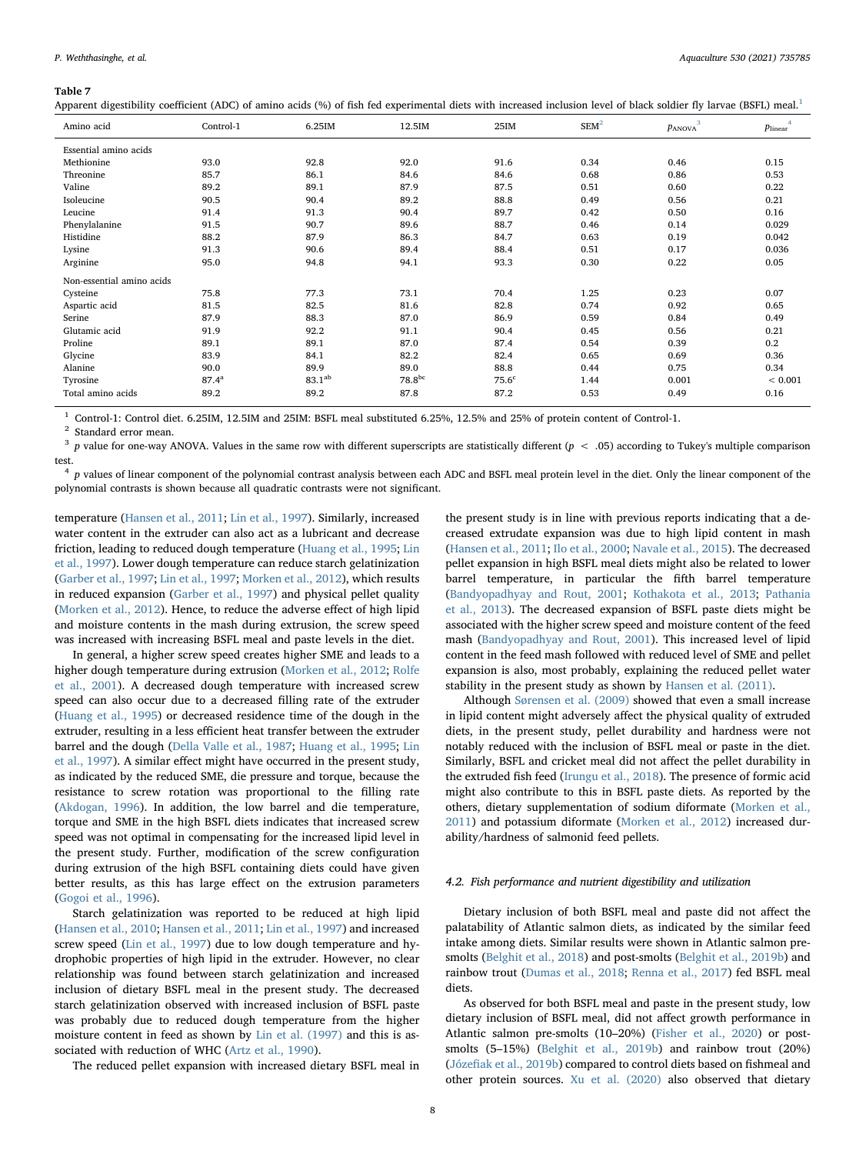<span id="page-7-0"></span>Apparent digestibility coefficient (ADC) of amino acids (%) of fish fed experimental diets with increased inclusion level of black soldier fly larvae (BSFL) meal.<sup>[1](#page-7-1)</sup>

| Amino acid                | Control-1      | 6.25IM      | 12.5IM      | 25IM              | SEM <sup>2</sup> | PANOVA <sup></sup> | $p_{linear}$ |
|---------------------------|----------------|-------------|-------------|-------------------|------------------|--------------------|--------------|
| Essential amino acids     |                |             |             |                   |                  |                    |              |
| Methionine                | 93.0           | 92.8        | 92.0        | 91.6              | 0.34             | 0.46               | 0.15         |
| Threonine                 | 85.7           | 86.1        | 84.6        | 84.6              | 0.68             | 0.86               | 0.53         |
| Valine                    | 89.2           | 89.1        | 87.9        | 87.5              | 0.51             | 0.60               | 0.22         |
| Isoleucine                | 90.5           | 90.4        | 89.2        | 88.8              | 0.49             | 0.56               | 0.21         |
| Leucine                   | 91.4           | 91.3        | 90.4        | 89.7              | 0.42             | 0.50               | 0.16         |
| Phenylalanine             | 91.5           | 90.7        | 89.6        | 88.7              | 0.46             | 0.14               | 0.029        |
| Histidine                 | 88.2           | 87.9        | 86.3        | 84.7              | 0.63             | 0.19               | 0.042        |
| Lysine                    | 91.3           | 90.6        | 89.4        | 88.4              | 0.51             | 0.17               | 0.036        |
| Arginine                  | 95.0           | 94.8        | 94.1        | 93.3              | 0.30             | 0.22               | 0.05         |
| Non-essential amino acids |                |             |             |                   |                  |                    |              |
| Cysteine                  | 75.8           | 77.3        | 73.1        | 70.4              | 1.25             | 0.23               | 0.07         |
| Aspartic acid             | 81.5           | 82.5        | 81.6        | 82.8              | 0.74             | 0.92               | 0.65         |
| Serine                    | 87.9           | 88.3        | 87.0        | 86.9              | 0.59             | 0.84               | 0.49         |
| Glutamic acid             | 91.9           | 92.2        | 91.1        | 90.4              | 0.45             | 0.56               | 0.21         |
| Proline                   | 89.1           | 89.1        | 87.0        | 87.4              | 0.54             | 0.39               | 0.2          |
| Glycine                   | 83.9           | 84.1        | 82.2        | 82.4              | 0.65             | 0.69               | 0.36         |
| Alanine                   | 90.0           | 89.9        | 89.0        | 88.8              | 0.44             | 0.75               | 0.34         |
| Tyrosine                  | $87.4^{\rm a}$ | $83.1^{ab}$ | $78.8^{bc}$ | 75.6 <sup>c</sup> | 1.44             | 0.001              | ${}< 0.001$  |
| Total amino acids         | 89.2           | 89.2        | 87.8        | 87.2              | 0.53             | 0.49               | 0.16         |

<span id="page-7-1"></span><sup>1</sup> Control-1: Control diet. 6.25IM, 12.5IM and 25IM: BSFL meal substituted 6.25%, 12.5% and 25% of protein content of Control-1.

<span id="page-7-2"></span><sup>2</sup> Standard error mean.

<span id="page-7-3"></span> $3$  p value for one-way ANOVA. Values in the same row with different superscripts are statistically different ( $p < .05$ ) according to Tukey's multiple comparison test.

<span id="page-7-4"></span> $4$  p values of linear component of the polynomial contrast analysis between each ADC and BSFL meal protein level in the diet. Only the linear component of the polynomial contrasts is shown because all quadratic contrasts were not significant.

temperature ([Hansen et al., 2011](#page-10-26); [Lin et al., 1997\)](#page-10-12). Similarly, increased water content in the extruder can also act as a lubricant and decrease friction, leading to reduced dough temperature ([Huang et al., 1995](#page-10-27); [Lin](#page-10-12) [et al., 1997\)](#page-10-12). Lower dough temperature can reduce starch gelatinization ([Garber et al., 1997](#page-10-28); [Lin et al., 1997;](#page-10-12) [Morken et al., 2012](#page-10-29)), which results in reduced expansion ([Garber et al., 1997\)](#page-10-28) and physical pellet quality ([Morken et al., 2012](#page-10-29)). Hence, to reduce the adverse effect of high lipid and moisture contents in the mash during extrusion, the screw speed was increased with increasing BSFL meal and paste levels in the diet.

In general, a higher screw speed creates higher SME and leads to a higher dough temperature during extrusion [\(Morken et al., 2012;](#page-10-29) [Rolfe](#page-11-15) [et al., 2001\)](#page-11-15). A decreased dough temperature with increased screw speed can also occur due to a decreased filling rate of the extruder ([Huang et al., 1995](#page-10-27)) or decreased residence time of the dough in the extruder, resulting in a less efficient heat transfer between the extruder barrel and the dough ([Della Valle et al., 1987](#page-10-30); [Huang et al., 1995;](#page-10-27) [Lin](#page-10-12) [et al., 1997\)](#page-10-12). A similar effect might have occurred in the present study, as indicated by the reduced SME, die pressure and torque, because the resistance to screw rotation was proportional to the filling rate ([Akdogan, 1996](#page-10-31)). In addition, the low barrel and die temperature, torque and SME in the high BSFL diets indicates that increased screw speed was not optimal in compensating for the increased lipid level in the present study. Further, modification of the screw configuration during extrusion of the high BSFL containing diets could have given better results, as this has large effect on the extrusion parameters ([Gogoi et al., 1996\)](#page-10-32).

Starch gelatinization was reported to be reduced at high lipid ([Hansen et al., 2010;](#page-10-20) [Hansen et al., 2011](#page-10-26); [Lin et al., 1997\)](#page-10-12) and increased screw speed ([Lin et al., 1997](#page-10-12)) due to low dough temperature and hydrophobic properties of high lipid in the extruder. However, no clear relationship was found between starch gelatinization and increased inclusion of dietary BSFL meal in the present study. The decreased starch gelatinization observed with increased inclusion of BSFL paste was probably due to reduced dough temperature from the higher moisture content in feed as shown by [Lin et al. \(1997\)](#page-10-12) and this is associated with reduction of WHC ([Artz et al., 1990\)](#page-10-33).

The reduced pellet expansion with increased dietary BSFL meal in

the present study is in line with previous reports indicating that a decreased extrudate expansion was due to high lipid content in mash ([Hansen et al., 2011;](#page-10-26) Ilo [et al., 2000](#page-10-25); [Navale et al., 2015\)](#page-10-34). The decreased pellet expansion in high BSFL meal diets might also be related to lower barrel temperature, in particular the fifth barrel temperature ([Bandyopadhyay and Rout, 2001](#page-10-35); [Kothakota et al., 2013](#page-10-36); [Pathania](#page-11-16) [et al., 2013](#page-11-16)). The decreased expansion of BSFL paste diets might be associated with the higher screw speed and moisture content of the feed mash [\(Bandyopadhyay and Rout, 2001\)](#page-10-35). This increased level of lipid content in the feed mash followed with reduced level of SME and pellet expansion is also, most probably, explaining the reduced pellet water stability in the present study as shown by [Hansen et al. \(2011\)](#page-10-26).

Although [Sørensen et al. \(2009\)](#page-11-4) showed that even a small increase in lipid content might adversely affect the physical quality of extruded diets, in the present study, pellet durability and hardness were not notably reduced with the inclusion of BSFL meal or paste in the diet. Similarly, BSFL and cricket meal did not affect the pellet durability in the extruded fish feed [\(Irungu et al., 2018](#page-10-37)). The presence of formic acid might also contribute to this in BSFL paste diets. As reported by the others, dietary supplementation of sodium diformate ([Morken et al.,](#page-10-38) [2011\)](#page-10-38) and potassium diformate [\(Morken et al., 2012\)](#page-10-29) increased durability/hardness of salmonid feed pellets.

# 4.2. Fish performance and nutrient digestibility and utilization

Dietary inclusion of both BSFL meal and paste did not affect the palatability of Atlantic salmon diets, as indicated by the similar feed intake among diets. Similar results were shown in Atlantic salmon presmolts [\(Belghit et al., 2018\)](#page-10-8) and post-smolts [\(Belghit et al., 2019b](#page-10-10)) and rainbow trout ([Dumas et al., 2018;](#page-10-13) [Renna et al., 2017\)](#page-11-17) fed BSFL meal diets.

As observed for both BSFL meal and paste in the present study, low dietary inclusion of BSFL meal, did not affect growth performance in Atlantic salmon pre-smolts (10–20%) [\(Fisher et al., 2020](#page-10-9)) or postsmolts (5–15%) ([Belghit et al., 2019b\)](#page-10-10) and rainbow trout (20%) (Józefi[ak et al., 2019b](#page-10-14)) compared to control diets based on fishmeal and other protein sources. [Xu et al. \(2020\)](#page-11-9) also observed that dietary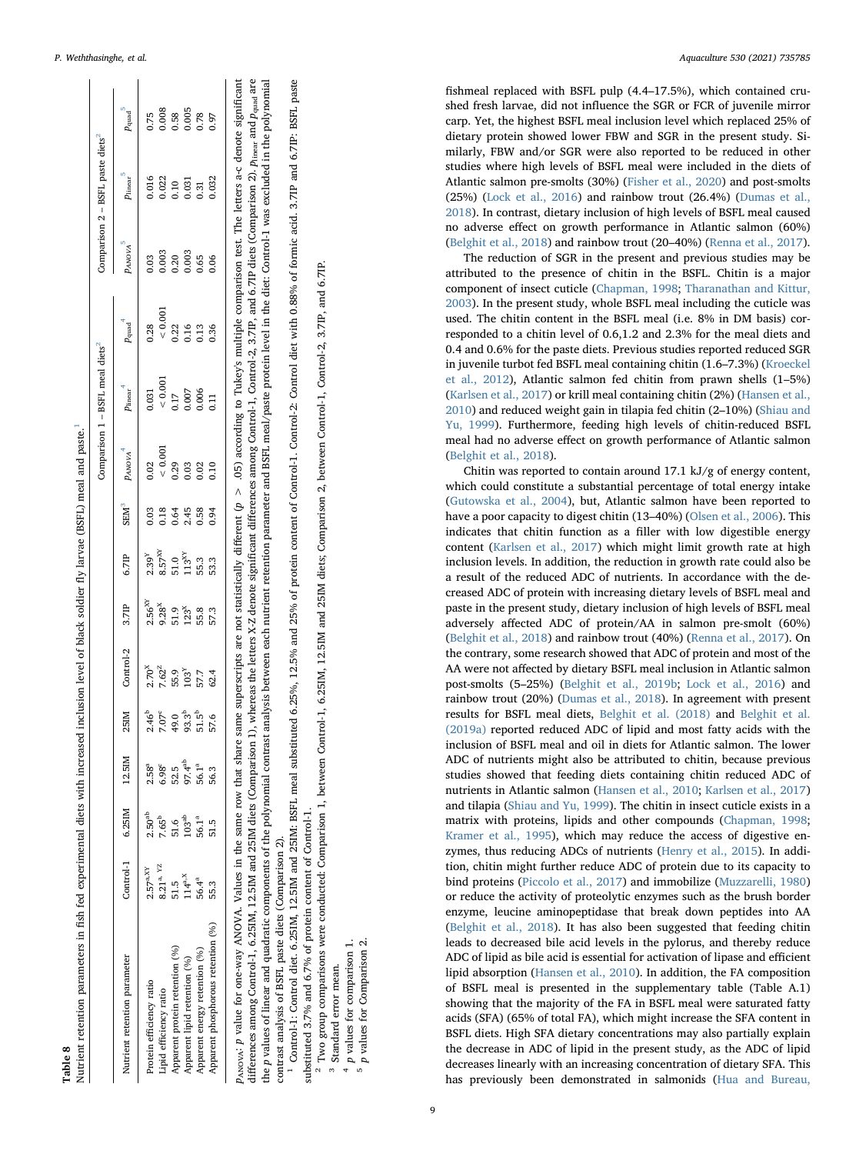<span id="page-8-0"></span>

|                                    |                       |                         |                    |                                                              |                                                           |                                                                       |                                                                                              |          |                                                                                 | Comparison 1 - BSFL meal diets <sup>2</sup>                                                                                                                                                                                             |                             |                                                                                | Comparison $2 - BSFL$ paste diets <sup>2</sup>                                           |                                        |
|------------------------------------|-----------------------|-------------------------|--------------------|--------------------------------------------------------------|-----------------------------------------------------------|-----------------------------------------------------------------------|----------------------------------------------------------------------------------------------|----------|---------------------------------------------------------------------------------|-----------------------------------------------------------------------------------------------------------------------------------------------------------------------------------------------------------------------------------------|-----------------------------|--------------------------------------------------------------------------------|------------------------------------------------------------------------------------------|----------------------------------------|
| Nutrient retention parameter       |                       | Control-1 6.25IM 12.5IM |                    | 25IM                                                         | Control-2                                                 | 3.7IP                                                                 | 6.7IP                                                                                        | $SEM^3$  | $P_{ANOVA}$                                                                     | $p_{linear}^4$                                                                                                                                                                                                                          | $p_{\rm quad}$ <sup>4</sup> | $p_{A\textrm{NOWA}}^5$                                                         | $p_{\rm linear}$ $^5$                                                                    | $p_{\rm quad}$ $^5$                    |
| Protein efficiency ratio           | 2.57 <sup>a, XY</sup> | 2.50 <sup>ab</sup>      | $2.58^{a}$         |                                                              |                                                           |                                                                       |                                                                                              |          |                                                                                 |                                                                                                                                                                                                                                         |                             |                                                                                |                                                                                          |                                        |
| Lipid efficiency ratio             | $8.21^{a}$ , YZ       | $7.65^{b}$              | $6.98^c$           |                                                              |                                                           | 2.56 <sup>8x</sup><br>9.28 <sup>x</sup><br>9.1.3 <sup>x</sup><br>55.8 |                                                                                              |          |                                                                                 |                                                                                                                                                                                                                                         |                             |                                                                                |                                                                                          |                                        |
| Apparent protein retention (%)     | 51.5                  | 51.6                    | 52.5               |                                                              |                                                           |                                                                       |                                                                                              |          |                                                                                 |                                                                                                                                                                                                                                         |                             |                                                                                |                                                                                          |                                        |
| Apparent lipid retention (%)       | $114^{\mathrm{a,X}}$  | 103 <sup>ab</sup>       | 97.4 <sup>ab</sup> |                                                              |                                                           |                                                                       |                                                                                              |          |                                                                                 |                                                                                                                                                                                                                                         |                             |                                                                                |                                                                                          |                                        |
| Apparent energy retention (%)      | 56.4ª                 | $56.1^{a}$              | 56.1 <sup>a</sup>  | $2.65^{\circ}$<br>7.07 9 37 51<br>7.07 9 51 51<br>7.07 51 51 | $2.70x$<br>7.62 <sup>z</sup><br>7.63<br>5.7<br>5.2<br>5.2 |                                                                       | $2.39^{\times}$<br>$8.57^{\times}$<br>$8.51^{\times}$<br>$1.33^{\times}$<br>$1.333^{\times}$ | 0.884883 | $\begin{array}{c} 22 \\ 0.001 \\ 0.23 \\ 0.33 \\ 0.010 \\ 0.010 \\ \end{array}$ | $\begin{array}{r} 0.031\ 0.001\ 0.007\ 0.000\ 0.000\ 0.11\ 0.01\ 0.01\ 0.01\ 0.01\ 0.01\ 0.01\ 0.01\ 0.01\ 0.01\ 0.01\ 0.01\ 0.01\ 0.01\ 0.01\ 0.01\ 0.01\ 0.01\ 0.01\ 0.01\ 0.01\ 0.01\ 0.01\ 0.01\ 0.01\ 0.01\ 0.01\ 0.01\ 0.01\ 0.0$ |                             | $\begin{array}{c} 0.3 \\ 0.003 \\ 0.003 \\ 0.003 \\ 0.003 \\ 0.06 \end{array}$ | $\begin{array}{c} 0.016 \\ 0.022 \\ 0.10 \\ 0.031 \\ 0.31 \\ 0.032 \\ 0.032 \end{array}$ | 0.75<br>0.008<br>0.005<br>0.97<br>0.97 |
| Apparent phosphorous retention (%) | 55.3                  | 51.5                    | 56.3               | 57.6                                                         |                                                           | 57.3                                                                  |                                                                                              |          |                                                                                 |                                                                                                                                                                                                                                         |                             |                                                                                |                                                                                          |                                        |

 $p_{\text{AVOVA}}$ ; p value for one-way ANOVA. Values in the same snow that share same superscripts are not statistically different  $(p > 0.05)$  according to Tukey's multiple comparison test. The letters a-c denote significant differences among Control-1, 6.25IM, 12.5IM and 25IM diets (Comparison 1), whereas the letters X-Z denote significant differences among Control-1, Control-2, 3.7IP, and 6.7IP diets (Comparison 2). Pinear and Pquad are fferent ( $p > .05$ ) according to Tukey's multiple comparison test. The letters a-c denote significant fferences among Control-1, Control-2, 3.7LP, and 6.7LP diets (Comparison 2).  $p_{\text{linear}}$  and  $p_{\text{quad}}$  are the p values of linear and quadratic components of the polynomial contrast analysis between each nutrient retention parameter and BSFL meal/paste protein level in the diet: Control-1 was excluded in the polynomial the p values of linear and quadratic components of the polynomial contrast analysis between each nutrient retention parameter and BSFL meal/paste protein level in the diet: Control-1 was excluded in the polynomial contrast analysis of BSFL paste diets (Comparison 2).<br><sup>1</sup> Control-1: Control diet. 6.25IM, 12.5IM and 25IM: BSFL meal substituted 6.25%, 12.5% and 25% of protein content of Control-1. Control-2: Control diet with 0.88% of fferences among Control-1, 6.25IM, 12.5IM and 25IM diets (Comparison 1), whereas the letters X-Z denote significant di  $p_{ANOVA}$ : p value for one-way ANOVA. Values in the same row that share same superscripts are not statistically di contrast analysis of BSFL paste diets (Comparison 2).

<span id="page-8-5"></span><span id="page-8-4"></span><span id="page-8-3"></span><span id="page-8-2"></span><span id="page-8-1"></span><sup>1</sup> Control-1: Control diet. 6.25IM, 12.5IM and 25IM: BSFL meal substituted 6.25%, 12.5% and 25% of protein content of Control-1. Control-2: Control diet with 0.88% of formic acid. 3.7IP and 6.7IP: BSFL paste substituted 3.7% and 6.7% of protein content of Control-1.

substituted 3.7% and 6.7% of protein content of Control-1.<br><sup>2</sup> Two group comparisons were conducted: Comparison 1, between Control-1, 6.25IM, 12.5IM and 25IM diets; Comparison 2, between Control-1, Control-2, 3.7IP, and 6. <sup>2</sup> Two group comparisons were conducted: Comparison 1, between Control-1, 6.25IM, 12.5IM and 25IM diets; Comparison 2, between Control-1, Control-2, 3.7IP, and 6.7IP.

<sup>3</sup> Standard error mean.

p values for comparison 1.

p values for Comparison

 $\mathbf{z}$ 

fishmeal replaced with BSFL pulp (4.4–17.5%), which contained crushed fresh larvae, did not influence the SGR or FCR of juvenile mirror carp. Yet, the highest BSFL meal inclusion level which replaced 25% of dietary protein showed lower FBW and SGR in the present study. Similarly, FBW and/or SGR were also reported to be reduced in other studies where high levels of BSFL meal were included in the diets of Atlantic salmon pre-smolts (30%) ([Fisher et al., 2020\)](#page-10-9) and post-smolts (25%) ([Lock et al., 2016](#page-10-11)) and rainbow trout (26.4%) [\(Dumas et al.,](#page-10-13) [2018\)](#page-10-13). In contrast, dietary inclusion of high levels of BSFL meal caused no adverse effect on growth performance in Atlantic salmon (60%) ([Belghit et al., 2018\)](#page-10-8) and rainbow trout (20–40%) [\(Renna et al., 2017](#page-11-17)).

The reduction of SGR in the present and previous studies may be attributed to the presence of chitin in the BSFL. Chitin is a major component of insect cuticle [\(Chapman, 1998;](#page-10-39) [Tharanathan and Kittur,](#page-11-18) [2003\)](#page-11-18). In the present study, whole BSFL meal including the cuticle was used. The chitin content in the BSFL meal (i.e. 8% in DM basis) corresponded to a chitin level of 0.6,1.2 and 2.3% for the meal diets and 0.4 and 0.6% for the paste diets. Previous studies reported reduced SGR in juvenile turbot fed BSFL meal containing chitin (1.6–7.3%) ([Kroeckel](#page-10-40) [et al., 2012](#page-10-40)), Atlantic salmon fed chitin from prawn shells (1–5%) ([Karlsen et al., 2017\)](#page-10-41) or krill meal containing chitin (2%) [\(Hansen et al.,](#page-10-20) [2010\)](#page-10-20) and reduced weight gain in tilapia fed chitin (2–10%) ([Shiau and](#page-11-19) [Yu, 1999](#page-11-19)). Furthermore, feeding high levels of chitin-reduced BSFL meal had no adverse effect on growth performance of Atlantic salmon ([Belghit et al., 2018\)](#page-10-8).

Chitin was reported to contain around 17.1 kJ/g of energy content, which could constitute a substantial percentage of total energy intake ([Gutowska et al., 2004](#page-10-42)), but, Atlantic salmon have been reported to have a poor capacity to digest chitin (13–40%) ([Olsen et al., 2006\)](#page-11-20). This indicates that chitin function as a filler with low digestible energy content [\(Karlsen et al., 2017](#page-10-41)) which might limit growth rate at high inclusion levels. In addition, the reduction in growth rate could also be a result of the reduced ADC of nutrients. In accordance with the decreased ADC of protein with increasing dietary levels of BSFL meal and paste in the present study, dietary inclusion of high levels of BSFL meal adversely affected ADC of protein/AA in salmon pre-smolt (60%) ([Belghit et al., 2018\)](#page-10-8) and rainbow trout (40%) [\(Renna et al., 2017\)](#page-11-17). On the contrary, some research showed that ADC of protein and most of the AA were not affected by dietary BSFL meal inclusion in Atlantic salmon post-smolts (5–25%) [\(Belghit et al., 2019b;](#page-10-10) Lock [et al., 2016](#page-10-11)) and rainbow trout (20%) ([Dumas et al., 2018\)](#page-10-13). In agreement with present results for BSFL meal diets, [Belghit et al. \(2018\)](#page-10-8) and [Belghit et al.](#page-10-43) [\(2019a\)](#page-10-43) reported reduced ADC of lipid and most fatty acids with the inclusion of BSFL meal and oil in diets for Atlantic salmon. The lower ADC of nutrients might also be attributed to chitin, because previous studies showed that feeding diets containing chitin reduced ADC of nutrients in Atlantic salmon [\(Hansen et al., 2010;](#page-10-20) [Karlsen et al., 2017\)](#page-10-41) and tilapia ([Shiau and Yu, 1999](#page-11-19)). The chitin in insect cuticle exists in a matrix with proteins, lipids and other compounds ([Chapman, 1998](#page-10-39); [Kramer et al., 1995\)](#page-10-44), which may reduce the access of digestive enzymes, thus reducing ADCs of nutrients [\(Henry et al., 2015](#page-10-0)). In addition, chitin might further reduce ADC of protein due to its capacity to bind proteins [\(Piccolo et al., 2017](#page-11-21)) and immobilize ([Muzzarelli, 1980\)](#page-10-45) or reduce the activity of proteolytic enzymes such as the brush border enzyme, leucine aminopeptidase that break down peptides into AA ([Belghit et al., 2018\)](#page-10-8). It has also been suggested that feeding chitin leads to decreased bile acid levels in the pylorus, and thereby reduce ADC of lipid as bile acid is essential for activation of lipase and efficient lipid absorption [\(Hansen et al., 2010](#page-10-20)). In addition, the FA composition of BSFL meal is presented in the supplementary table (Table A.1) showing that the majority of the FA in BSFL meal were saturated fatty acids (SFA) (65% of total FA), which might increase the SFA content in BSFL diets. High SFA dietary concentrations may also partially explain the decrease in ADC of lipid in the present study, as the ADC of lipid decreases linearly with an increasing concentration of dietary SFA. This has previously been demonstrated in salmonids ([Hua and Bureau,](#page-10-46)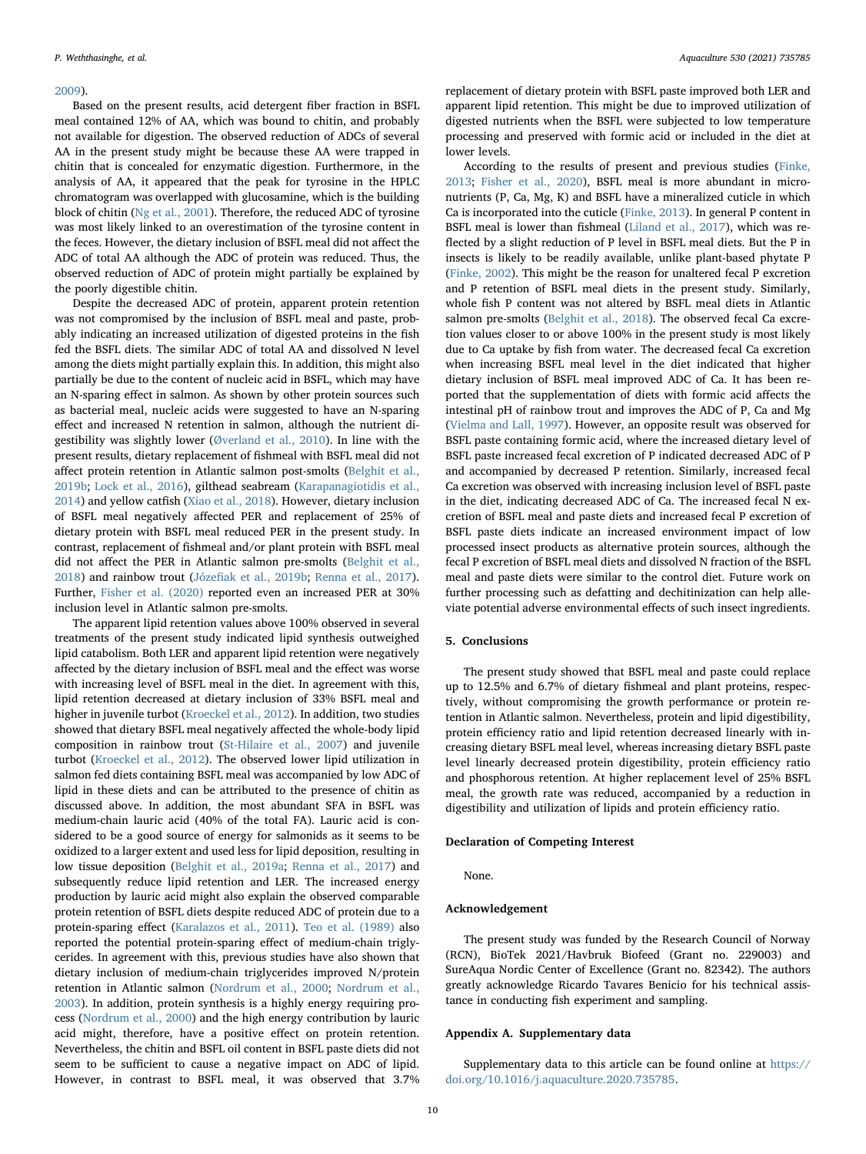### [2009\)](#page-10-46).

Based on the present results, acid detergent fiber fraction in BSFL meal contained 12% of AA, which was bound to chitin, and probably not available for digestion. The observed reduction of ADCs of several AA in the present study might be because these AA were trapped in chitin that is concealed for enzymatic digestion. Furthermore, in the analysis of AA, it appeared that the peak for tyrosine in the HPLC chromatogram was overlapped with glucosamine, which is the building block of chitin ([Ng et al., 2001](#page-11-22)). Therefore, the reduced ADC of tyrosine was most likely linked to an overestimation of the tyrosine content in the feces. However, the dietary inclusion of BSFL meal did not affect the ADC of total AA although the ADC of protein was reduced. Thus, the observed reduction of ADC of protein might partially be explained by the poorly digestible chitin.

Despite the decreased ADC of protein, apparent protein retention was not compromised by the inclusion of BSFL meal and paste, probably indicating an increased utilization of digested proteins in the fish fed the BSFL diets. The similar ADC of total AA and dissolved N level among the diets might partially explain this. In addition, this might also partially be due to the content of nucleic acid in BSFL, which may have an N-sparing effect in salmon. As shown by other protein sources such as bacterial meal, nucleic acids were suggested to have an N-sparing effect and increased N retention in salmon, although the nutrient digestibility was slightly lower ([Øverland et al., 2010\)](#page-11-23). In line with the present results, dietary replacement of fishmeal with BSFL meal did not affect protein retention in Atlantic salmon post-smolts ([Belghit et al.,](#page-10-10) [2019b;](#page-10-10) [Lock et al., 2016](#page-10-11)), gilthead seabream ([Karapanagiotidis et al.,](#page-10-47) [2014\)](#page-10-47) and yellow catfish [\(Xiao et al., 2018\)](#page-11-6). However, dietary inclusion of BSFL meal negatively affected PER and replacement of 25% of dietary protein with BSFL meal reduced PER in the present study. In contrast, replacement of fishmeal and/or plant protein with BSFL meal did not affect the PER in Atlantic salmon pre-smolts ([Belghit et al.,](#page-10-8) [2018\)](#page-10-8) and rainbow trout (Józefi[ak et al., 2019b](#page-10-14); [Renna et al., 2017](#page-11-17)). Further, [Fisher et al. \(2020\)](#page-10-9) reported even an increased PER at 30% inclusion level in Atlantic salmon pre-smolts.

The apparent lipid retention values above 100% observed in several treatments of the present study indicated lipid synthesis outweighed lipid catabolism. Both LER and apparent lipid retention were negatively affected by the dietary inclusion of BSFL meal and the effect was worse with increasing level of BSFL meal in the diet. In agreement with this, lipid retention decreased at dietary inclusion of 33% BSFL meal and higher in juvenile turbot ([Kroeckel et al., 2012\)](#page-10-40). In addition, two studies showed that dietary BSFL meal negatively affected the whole-body lipid composition in rainbow trout [\(St-Hilaire et al., 2007\)](#page-11-24) and juvenile turbot ([Kroeckel et al., 2012\)](#page-10-40). The observed lower lipid utilization in salmon fed diets containing BSFL meal was accompanied by low ADC of lipid in these diets and can be attributed to the presence of chitin as discussed above. In addition, the most abundant SFA in BSFL was medium-chain lauric acid (40% of the total FA). Lauric acid is considered to be a good source of energy for salmonids as it seems to be oxidized to a larger extent and used less for lipid deposition, resulting in low tissue deposition ([Belghit et al., 2019a](#page-10-43); [Renna et al., 2017](#page-11-17)) and subsequently reduce lipid retention and LER. The increased energy production by lauric acid might also explain the observed comparable protein retention of BSFL diets despite reduced ADC of protein due to a protein-sparing effect ([Karalazos et al., 2011](#page-10-48)). [Teo et al. \(1989\)](#page-11-25) also reported the potential protein-sparing effect of medium-chain triglycerides. In agreement with this, previous studies have also shown that dietary inclusion of medium-chain triglycerides improved N/protein retention in Atlantic salmon [\(Nordrum et al., 2000;](#page-11-26) [Nordrum et al.,](#page-11-27) [2003\)](#page-11-27). In addition, protein synthesis is a highly energy requiring process [\(Nordrum et al., 2000\)](#page-11-26) and the high energy contribution by lauric acid might, therefore, have a positive effect on protein retention. Nevertheless, the chitin and BSFL oil content in BSFL paste diets did not seem to be sufficient to cause a negative impact on ADC of lipid. However, in contrast to BSFL meal, it was observed that 3.7%

replacement of dietary protein with BSFL paste improved both LER and apparent lipid retention. This might be due to improved utilization of digested nutrients when the BSFL were subjected to low temperature processing and preserved with formic acid or included in the diet at lower levels.

According to the results of present and previous studies [\(Finke,](#page-10-7) [2013;](#page-10-7) [Fisher et al., 2020\)](#page-10-9), BSFL meal is more abundant in micronutrients (P, Ca, Mg, K) and BSFL have a mineralized cuticle in which Ca is incorporated into the cuticle ([Finke, 2013](#page-10-7)). In general P content in BSFL meal is lower than fishmeal ([Liland et al., 2017](#page-10-49)), which was reflected by a slight reduction of P level in BSFL meal diets. But the P in insects is likely to be readily available, unlike plant-based phytate P ([Finke, 2002\)](#page-10-50). This might be the reason for unaltered fecal P excretion and P retention of BSFL meal diets in the present study. Similarly, whole fish P content was not altered by BSFL meal diets in Atlantic salmon pre-smolts [\(Belghit et al., 2018](#page-10-8)). The observed fecal Ca excretion values closer to or above 100% in the present study is most likely due to Ca uptake by fish from water. The decreased fecal Ca excretion when increasing BSFL meal level in the diet indicated that higher dietary inclusion of BSFL meal improved ADC of Ca. It has been reported that the supplementation of diets with formic acid affects the intestinal pH of rainbow trout and improves the ADC of P, Ca and Mg ([Vielma and Lall, 1997](#page-11-28)). However, an opposite result was observed for BSFL paste containing formic acid, where the increased dietary level of BSFL paste increased fecal excretion of P indicated decreased ADC of P and accompanied by decreased P retention. Similarly, increased fecal Ca excretion was observed with increasing inclusion level of BSFL paste in the diet, indicating decreased ADC of Ca. The increased fecal N excretion of BSFL meal and paste diets and increased fecal P excretion of BSFL paste diets indicate an increased environment impact of low processed insect products as alternative protein sources, although the fecal P excretion of BSFL meal diets and dissolved N fraction of the BSFL meal and paste diets were similar to the control diet. Future work on further processing such as defatting and dechitinization can help alleviate potential adverse environmental effects of such insect ingredients.

### 5. Conclusions

The present study showed that BSFL meal and paste could replace up to 12.5% and 6.7% of dietary fishmeal and plant proteins, respectively, without compromising the growth performance or protein retention in Atlantic salmon. Nevertheless, protein and lipid digestibility, protein efficiency ratio and lipid retention decreased linearly with increasing dietary BSFL meal level, whereas increasing dietary BSFL paste level linearly decreased protein digestibility, protein efficiency ratio and phosphorous retention. At higher replacement level of 25% BSFL meal, the growth rate was reduced, accompanied by a reduction in digestibility and utilization of lipids and protein efficiency ratio.

# Declaration of Competing Interest

None.

## Acknowledgement

The present study was funded by the Research Council of Norway (RCN), BioTek 2021/Havbruk Biofeed (Grant no. 229003) and SureAqua Nordic Center of Excellence (Grant no. 82342). The authors greatly acknowledge Ricardo Tavares Benicio for his technical assistance in conducting fish experiment and sampling.

# Appendix A. Supplementary data

Supplementary data to this article can be found online at [https://](https://doi.org/10.1016/j.aquaculture.2020.735785) [doi.org/10.1016/j.aquaculture.2020.735785](https://doi.org/10.1016/j.aquaculture.2020.735785).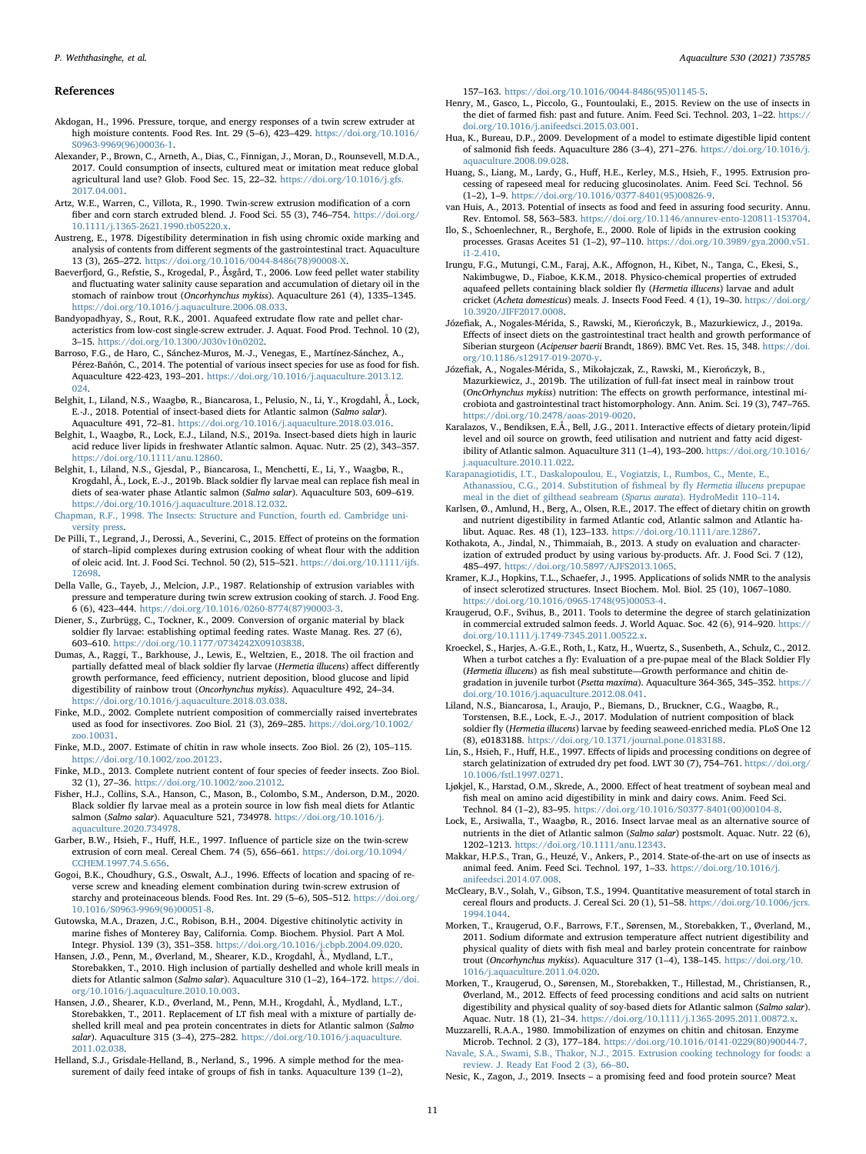### References

- <span id="page-10-31"></span>Akdogan, H., 1996. Pressure, torque, and energy responses of a twin screw extruder at high moisture contents. Food Res. Int. 29 (5–6), 423–429. [https://doi.org/10.1016/](https://doi.org/10.1016/S0963-9969(96)00036-1) [S0963-9969\(96\)00036-1](https://doi.org/10.1016/S0963-9969(96)00036-1).
- <span id="page-10-3"></span>Alexander, P., Brown, C., Arneth, A., Dias, C., Finnigan, J., Moran, D., Rounsevell, M.D.A., 2017. Could consumption of insects, cultured meat or imitation meat reduce global agricultural land use? Glob. Food Sec. 15, 22–32. [https://doi.org/10.1016/j.gfs.](https://doi.org/10.1016/j.gfs.2017.04.001) [2017.04.001](https://doi.org/10.1016/j.gfs.2017.04.001).
- <span id="page-10-33"></span>Artz, W.E., Warren, C., Villota, R., 1990. Twin-screw extrusion modification of a corn fiber and corn starch extruded blend. J. Food Sci. 55 (3), 746–754. [https://doi.org/](https://doi.org/10.1111/j.1365-2621.1990.tb05220.x) [10.1111/j.1365-2621.1990.tb05220.x](https://doi.org/10.1111/j.1365-2621.1990.tb05220.x).
- <span id="page-10-18"></span>Austreng, E., 1978. Digestibility determination in fish using chromic oxide marking and analysis of contents from different segments of the gastrointestinal tract. Aquaculture 13 (3), 265–272. [https://doi.org/10.1016/0044-8486\(78\)90008-X](https://doi.org/10.1016/0044-8486(78)90008-X).
- <span id="page-10-19"></span>Baeverfjord, G., Refstie, S., Krogedal, P., Åsgård, T., 2006. Low feed pellet water stability and fluctuating water salinity cause separation and accumulation of dietary oil in the stomach of rainbow trout (Oncorhynchus mykiss). Aquaculture 261 (4), 1335–1345. <https://doi.org/10.1016/j.aquaculture.2006.08.033>.
- <span id="page-10-35"></span>Bandyopadhyay, S., Rout, R.K., 2001. Aquafeed extrudate flow rate and pellet characteristics from low-cost single-screw extruder. J. Aquat. Food Prod. Technol. 10 (2), 3–15. [https://doi.org/10.1300/J030v10n0202.](https://doi.org/10.1300/J030v10n0202)
- <span id="page-10-6"></span>Barroso, F.G., de Haro, C., Sánchez-Muros, M.-J., Venegas, E., Martínez-Sánchez, A., Pérez-Bañón, C., 2014. The potential of various insect species for use as food for fish. Aquaculture 422-423, 193–201. [https://doi.org/10.1016/j.aquaculture.2013.12.](https://doi.org/10.1016/j.aquaculture.2013.12.024) [024](https://doi.org/10.1016/j.aquaculture.2013.12.024).
- <span id="page-10-8"></span>Belghit, I., Liland, N.S., Waagbø, R., Biancarosa, I., Pelusio, N., Li, Y., Krogdahl, Å., Lock, E.-J., 2018. Potential of insect-based diets for Atlantic salmon (Salmo salar). Aquaculture 491, 72–81. <https://doi.org/10.1016/j.aquaculture.2018.03.016>.
- <span id="page-10-43"></span>Belghit, I., Waagbø, R., Lock, E.J., Liland, N.S., 2019a. Insect-based diets high in lauric acid reduce liver lipids in freshwater Atlantic salmon. Aquac. Nutr. 25 (2), 343–357. [https://doi.org/10.1111/anu.12860.](https://doi.org/10.1111/anu.12860)
- <span id="page-10-10"></span>Belghit, I., Liland, N.S., Gjesdal, P., Biancarosa, I., Menchetti, E., Li, Y., Waagbø, R., Krogdahl, Å., Lock, E.-J., 2019b. Black soldier fly larvae meal can replace fish meal in diets of sea-water phase Atlantic salmon (Salmo salar). Aquaculture 503, 609–619. <https://doi.org/10.1016/j.aquaculture.2018.12.032>.
- <span id="page-10-39"></span>[Chapman, R.F., 1998. The Insects: Structure and Function, fourth ed. Cambridge uni](http://refhub.elsevier.com/S0044-8486(20)31931-1/rf0055)[versity press.](http://refhub.elsevier.com/S0044-8486(20)31931-1/rf0055)
- <span id="page-10-24"></span>De Pilli, T., Legrand, J., Derossi, A., Severini, C., 2015. Effect of proteins on the formation of starch–lipid complexes during extrusion cooking of wheat flour with the addition of oleic acid. Int. J. Food Sci. Technol. 50 (2), 515–521. [https://doi.org/10.1111/ijfs.](https://doi.org/10.1111/ijfs.12698) [12698.](https://doi.org/10.1111/ijfs.12698)
- <span id="page-10-30"></span>Della Valle, G., Tayeb, J., Melcion, J.P., 1987. Relationship of extrusion variables with pressure and temperature during twin screw extrusion cooking of starch. J. Food Eng. 6 (6), 423–444. [https://doi.org/10.1016/0260-8774\(87\)90003-3](https://doi.org/10.1016/0260-8774(87)90003-3).
- <span id="page-10-5"></span>Diener, S., Zurbrügg, C., Tockner, K., 2009. Conversion of organic material by black soldier fly larvae: establishing optimal feeding rates. Waste Manag. Res. 27 (6), 603–610. [https://doi.org/10.1177/0734242X09103838.](https://doi.org/10.1177/0734242X09103838)
- <span id="page-10-13"></span>Dumas, A., Raggi, T., Barkhouse, J., Lewis, E., Weltzien, E., 2018. The oil fraction and partially defatted meal of black soldier fly larvae (Hermetia illucens) affect differently growth performance, feed efficiency, nutrient deposition, blood glucose and lipid digestibility of rainbow trout (Oncorhynchus mykiss). Aquaculture 492, 24–34. <https://doi.org/10.1016/j.aquaculture.2018.03.038>.
- <span id="page-10-50"></span>Finke, M.D., 2002. Complete nutrient composition of commercially raised invertebrates used as food for insectivores. Zoo Biol. 21 (3), 269–285. [https://doi.org/10.1002/](https://doi.org/10.1002/zoo.10031) [zoo.10031](https://doi.org/10.1002/zoo.10031).
- <span id="page-10-23"></span>Finke, M.D., 2007. Estimate of chitin in raw whole insects. Zoo Biol. 26 (2), 105–115. [https://doi.org/10.1002/zoo.20123.](https://doi.org/10.1002/zoo.20123)
- <span id="page-10-7"></span>Finke, M.D., 2013. Complete nutrient content of four species of feeder insects. Zoo Biol. 32 (1), 27–36. <https://doi.org/10.1002/zoo.21012>.
- <span id="page-10-9"></span>Fisher, H.J., Collins, S.A., Hanson, C., Mason, B., Colombo, S.M., Anderson, D.M., 2020. Black soldier fly larvae meal as a protein source in low fish meal diets for Atlantic salmon (Salmo salar). Aquaculture 521, 734978. [https://doi.org/10.1016/j.](https://doi.org/10.1016/j.aquaculture.2020.734978) [aquaculture.2020.734978.](https://doi.org/10.1016/j.aquaculture.2020.734978)
- <span id="page-10-28"></span>Garber, B.W., Hsieh, F., Huff, H.E., 1997. Influence of particle size on the twin-screw extrusion of corn meal. Cereal Chem. 74 (5), 656–661. [https://doi.org/10.1094/](https://doi.org/10.1094/CCHEM.1997.74.5.656) [CCHEM.1997.74.5.656.](https://doi.org/10.1094/CCHEM.1997.74.5.656)
- <span id="page-10-32"></span>Gogoi, B.K., Choudhury, G.S., Oswalt, A.J., 1996. Effects of location and spacing of reverse screw and kneading element combination during twin-screw extrusion of starchy and proteinaceous blends. Food Res. Int. 29 (5–6), 505–512. [https://doi.org/](https://doi.org/10.1016/S0963-9969(96)00051-8) [10.1016/S0963-9969\(96\)00051-8.](https://doi.org/10.1016/S0963-9969(96)00051-8)
- <span id="page-10-42"></span>Gutowska, M.A., Drazen, J.C., Robison, B.H., 2004. Digestive chitinolytic activity in marine fishes of Monterey Bay, California. Comp. Biochem. Physiol. Part A Mol. Integr. Physiol. 139 (3), 351–358. <https://doi.org/10.1016/j.cbpb.2004.09.020>. Hansen, J.Ø., Penn, M., Øverland, M., Shearer, K.D., Krogdahl, Å., Mydland, L.T.,
- <span id="page-10-20"></span>Storebakken, T., 2010. High inclusion of partially deshelled and whole krill meals in diets for Atlantic salmon (Salmo salar). Aquaculture 310 (1–2), 164–172. [https://doi.](https://doi.org/10.1016/j.aquaculture.2010.10.003) [org/10.1016/j.aquaculture.2010.10.003](https://doi.org/10.1016/j.aquaculture.2010.10.003).
- <span id="page-10-26"></span>Hansen, J.Ø., Shearer, K.D., Øverland, M., Penn, M.H., Krogdahl, Å., Mydland, L.T., Storebakken, T., 2011. Replacement of LT fish meal with a mixture of partially deshelled krill meal and pea protein concentrates in diets for Atlantic salmon (Salmo salar). Aquaculture 315 (3–4), 275–282. [https://doi.org/10.1016/j.aquaculture.](https://doi.org/10.1016/j.aquaculture.2011.02.038) [2011.02.038](https://doi.org/10.1016/j.aquaculture.2011.02.038).
- <span id="page-10-17"></span>Helland, S.J., Grisdale-Helland, B., Nerland, S., 1996. A simple method for the measurement of daily feed intake of groups of fish in tanks. Aquaculture 139 (1–2),

157–163. [https://doi.org/10.1016/0044-8486\(95\)01145-5](https://doi.org/10.1016/0044-8486(95)01145-5).

- <span id="page-10-0"></span>Henry, M., Gasco, L., Piccolo, G., Fountoulaki, E., 2015. Review on the use of insects in the diet of farmed fish: past and future. Anim. Feed Sci. Technol. 203, 1–22. [https://](https://doi.org/10.1016/j.anifeedsci.2015.03.001) [doi.org/10.1016/j.anifeedsci.2015.03.001.](https://doi.org/10.1016/j.anifeedsci.2015.03.001)
- <span id="page-10-46"></span>Hua, K., Bureau, D.P., 2009. Development of a model to estimate digestible lipid content of salmonid fish feeds. Aquaculture 286 (3–4), 271–276. [https://doi.org/10.1016/j.](https://doi.org/10.1016/j.aquaculture.2008.09.028) [aquaculture.2008.09.028.](https://doi.org/10.1016/j.aquaculture.2008.09.028)
- <span id="page-10-27"></span>Huang, S., Liang, M., Lardy, G., Huff, H.E., Kerley, M.S., Hsieh, F., 1995. Extrusion processing of rapeseed meal for reducing glucosinolates. Anim. Feed Sci. Technol. 56 (1–2), 1–9. [https://doi.org/10.1016/0377-8401\(95\)00826-9.](https://doi.org/10.1016/0377-8401(95)00826-9)
- <span id="page-10-4"></span>van Huis, A., 2013. Potential of insects as food and feed in assuring food security. Annu. Rev. Entomol. 58, 563–583. [https://doi.org/10.1146/annurev-ento-120811-153704.](https://doi.org/10.1146/annurev-ento-120811-153704)
- <span id="page-10-25"></span>Ilo, S., Schoenlechner, R., Berghofe, E., 2000. Role of lipids in the extrusion cooking processes. Grasas Aceites 51 (1–2), 97–110. [https://doi.org/10.3989/gya.2000.v51.](https://doi.org/10.3989/gya.2000.v51.i1-2.410) [i1-2.410](https://doi.org/10.3989/gya.2000.v51.i1-2.410).
- <span id="page-10-37"></span>Irungu, F.G., Mutungi, C.M., Faraj, A.K., Affognon, H., Kibet, N., Tanga, C., Ekesi, S., Nakimbugwe, D., Fiaboe, K.K.M., 2018. Physico-chemical properties of extruded aquafeed pellets containing black soldier fly (Hermetia illucens) larvae and adult cricket (Acheta domesticus) meals. J. Insects Food Feed. 4 (1), 19–30. [https://doi.org/](https://doi.org/10.3920/JIFF2017.0008) [10.3920/JIFF2017.0008.](https://doi.org/10.3920/JIFF2017.0008)
- <span id="page-10-15"></span>Józefiak, A., Nogales-Mérida, S., Rawski, M., Kierończyk, B., Mazurkiewicz, J., 2019a. Effects of insect diets on the gastrointestinal tract health and growth performance of Siberian sturgeon (Acipenser baerii Brandt, 1869). BMC Vet. Res. 15, 348. [https://doi.](https://doi.org/10.1186/s12917-019-2070-y) [org/10.1186/s12917-019-2070-y.](https://doi.org/10.1186/s12917-019-2070-y)
- <span id="page-10-14"></span>Józefiak, A., Nogales-Mérida, S., Mikołajczak, Z., Rawski, M., Kierończyk, B., Mazurkiewicz, J., 2019b. The utilization of full-fat insect meal in rainbow trout (OncOrhynchus mykiss) nutrition: The effects on growth performance, intestinal microbiota and gastrointestinal tract histomorphology. Ann. Anim. Sci. 19 (3), 747–765. [https://doi.org/10.2478/aoas-2019-0020.](https://doi.org/10.2478/aoas-2019-0020)
- <span id="page-10-48"></span>Karalazos, V., Bendiksen, E.Å., Bell, J.G., 2011. Interactive effects of dietary protein/lipid level and oil source on growth, feed utilisation and nutrient and fatty acid digestibility of Atlantic salmon. Aquaculture 311 (1–4), 193–200. [https://doi.org/10.1016/](https://doi.org/10.1016/j.aquaculture.2010.11.022) [j.aquaculture.2010.11.022](https://doi.org/10.1016/j.aquaculture.2010.11.022).
- <span id="page-10-47"></span>[Karapanagiotidis, I.T., Daskalopoulou, E., Vogiatzis, I., Rumbos, C., Mente, E.,](http://refhub.elsevier.com/S0044-8486(20)31931-1/rf0175) [Athanassiou, C.G., 2014. Substitution of](http://refhub.elsevier.com/S0044-8486(20)31931-1/rf0175) fishmeal by fly Hermetia illucens prepupae [meal in the diet of gilthead seabream \(](http://refhub.elsevier.com/S0044-8486(20)31931-1/rf0175)Sparus aurata). HydroMedit 110–114.
- <span id="page-10-41"></span>Karlsen, Ø., Amlund, H., Berg, A., Olsen, R.E., 2017. The effect of dietary chitin on growth and nutrient digestibility in farmed Atlantic cod, Atlantic salmon and Atlantic halibut. Aquac. Res. 48 (1), 123–133. [https://doi.org/10.1111/are.12867.](https://doi.org/10.1111/are.12867)
- <span id="page-10-36"></span>Kothakota, A., Jindal, N., Thimmaiah, B., 2013. A study on evaluation and characterization of extruded product by using various by-products. Afr. J. Food Sci. 7 (12), 485–497. [https://doi.org/10.5897/AJFS2013.1065.](https://doi.org/10.5897/AJFS2013.1065)
- <span id="page-10-44"></span>Kramer, K.J., Hopkins, T.L., Schaefer, J., 1995. Applications of solids NMR to the analysis of insect sclerotized structures. Insect Biochem. Mol. Biol. 25 (10), 1067–1080. [https://doi.org/10.1016/0965-1748\(95\)00053-4.](https://doi.org/10.1016/0965-1748(95)00053-4)
- <span id="page-10-21"></span>Kraugerud, O.F., Svihus, B., 2011. Tools to determine the degree of starch gelatinization in commercial extruded salmon feeds. J. World Aquac. Soc. 42 (6), 914–920. [https://](https://doi.org/10.1111/j.1749-7345.2011.00522.x) [doi.org/10.1111/j.1749-7345.2011.00522.x.](https://doi.org/10.1111/j.1749-7345.2011.00522.x)
- <span id="page-10-40"></span>Kroeckel, S., Harjes, A.-G.E., Roth, I., Katz, H., Wuertz, S., Susenbeth, A., Schulz, C., 2012. When a turbot catches a fly: Evaluation of a pre-pupae meal of the Black Soldier Fly (Hermetia illucens) as fish meal substitute—Growth performance and chitin degradation in juvenile turbot (Psetta maxima). Aquaculture 364-365, 345–352. [https://](https://doi.org/10.1016/j.aquaculture.2012.08.041) [doi.org/10.1016/j.aquaculture.2012.08.041](https://doi.org/10.1016/j.aquaculture.2012.08.041).
- <span id="page-10-49"></span>Liland, N.S., Biancarosa, I., Araujo, P., Biemans, D., Bruckner, C.G., Waagbø, R., Torstensen, B.E., Lock, E.-J., 2017. Modulation of nutrient composition of black soldier fly (Hermetia illucens) larvae by feeding seaweed-enriched media. PLoS One 12 (8), e0183188. <https://doi.org/10.1371/journal.pone.0183188>.
- <span id="page-10-12"></span>Lin, S., Hsieh, F., Huff, H.E., 1997. Effects of lipids and processing conditions on degree of starch gelatinization of extruded dry pet food. LWT 30 (7), 754–761. [https://doi.org/](https://doi.org/10.1006/fstl.1997.0271) [10.1006/fstl.1997.0271.](https://doi.org/10.1006/fstl.1997.0271)
- <span id="page-10-16"></span>Ljøkjel, K., Harstad, O.M., Skrede, A., 2000. Effect of heat treatment of soybean meal and fish meal on amino acid digestibility in mink and dairy cows. Anim. Feed Sci. Technol. 84 (1–2), 83–95. [https://doi.org/10.1016/S0377-8401\(00\)00104-8](https://doi.org/10.1016/S0377-8401(00)00104-8).
- <span id="page-10-11"></span>Lock, E., Arsiwalla, T., Waagbø, R., 2016. Insect larvae meal as an alternative source of nutrients in the diet of Atlantic salmon (Salmo salar) postsmolt. Aquac. Nutr. 22 (6), 1202–1213. <https://doi.org/10.1111/anu.12343>.
- <span id="page-10-1"></span>Makkar, H.P.S., Tran, G., Heuzé, V., Ankers, P., 2014. State-of-the-art on use of insects as animal feed. Anim. Feed Sci. Technol. 197, 1–33. [https://doi.org/10.1016/j.](https://doi.org/10.1016/j.anifeedsci.2014.07.008) [anifeedsci.2014.07.008](https://doi.org/10.1016/j.anifeedsci.2014.07.008).
- <span id="page-10-22"></span>McCleary, B.V., Solah, V., Gibson, T.S., 1994. Quantitative measurement of total starch in cereal flours and products. J. Cereal Sci. 20 (1), 51–58. [https://doi.org/10.1006/jcrs.](https://doi.org/10.1006/jcrs.1994.1044) [1994.1044](https://doi.org/10.1006/jcrs.1994.1044).
- <span id="page-10-38"></span>Morken, T., Kraugerud, O.F., Barrows, F.T., Sørensen, M., Storebakken, T., Øverland, M., 2011. Sodium diformate and extrusion temperature affect nutrient digestibility and physical quality of diets with fish meal and barley protein concentrate for rainbow trout (Oncorhynchus mykiss). Aquaculture 317 (1–4), 138–145. [https://doi.org/10.](https://doi.org/10.1016/j.aquaculture.2011.04.020) [1016/j.aquaculture.2011.04.020.](https://doi.org/10.1016/j.aquaculture.2011.04.020)
- <span id="page-10-29"></span>Morken, T., Kraugerud, O., Sørensen, M., Storebakken, T., Hillestad, M., Christiansen, R., Øverland, M., 2012. Effects of feed processing conditions and acid salts on nutrient digestibility and physical quality of soy-based diets for Atlantic salmon (Salmo salar). Aquac. Nutr. 18 (1), 21–34. <https://doi.org/10.1111/j.1365-2095.2011.00872.x>.
- <span id="page-10-45"></span>Muzzarelli, R.A.A., 1980. Immobilization of enzymes on chitin and chitosan. Enzyme Microb. Technol. 2 (3), 177–184. [https://doi.org/10.1016/0141-0229\(80\)90044-7.](https://doi.org/10.1016/0141-0229(80)90044-7)
- <span id="page-10-34"></span>Navale, [S.A., Swami, S.B., Thakor, N.J., 2015. Extrusion cooking technology for foods: a](http://refhub.elsevier.com/S0044-8486(20)31931-1/rf0250) [review. J. Ready Eat Food 2 \(3\), 66](http://refhub.elsevier.com/S0044-8486(20)31931-1/rf0250)–80.
- <span id="page-10-2"></span>Nesic, K., Zagon, J., 2019. Insects – a promising feed and food protein source? Meat